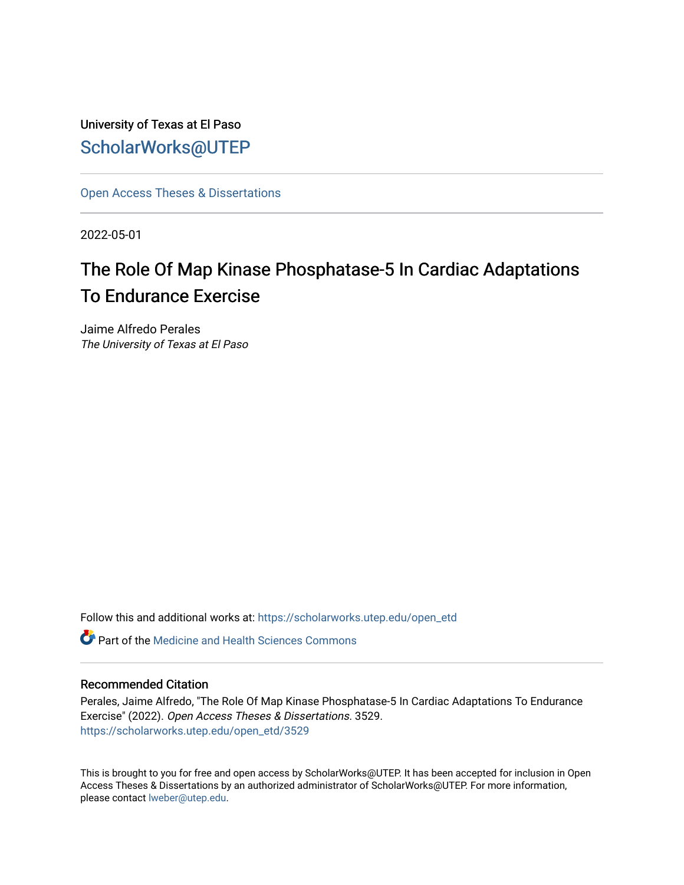University of Texas at El Paso [ScholarWorks@UTEP](https://scholarworks.utep.edu/)

[Open Access Theses & Dissertations](https://scholarworks.utep.edu/open_etd) 

2022-05-01

# The Role Of Map Kinase Phosphatase-5 In Cardiac Adaptations To Endurance Exercise

Jaime Alfredo Perales The University of Texas at El Paso

Follow this and additional works at: [https://scholarworks.utep.edu/open\\_etd](https://scholarworks.utep.edu/open_etd?utm_source=scholarworks.utep.edu%2Fopen_etd%2F3529&utm_medium=PDF&utm_campaign=PDFCoverPages)

**C** Part of the Medicine and Health Sciences Commons

#### Recommended Citation

Perales, Jaime Alfredo, "The Role Of Map Kinase Phosphatase-5 In Cardiac Adaptations To Endurance Exercise" (2022). Open Access Theses & Dissertations. 3529. [https://scholarworks.utep.edu/open\\_etd/3529](https://scholarworks.utep.edu/open_etd/3529?utm_source=scholarworks.utep.edu%2Fopen_etd%2F3529&utm_medium=PDF&utm_campaign=PDFCoverPages) 

This is brought to you for free and open access by ScholarWorks@UTEP. It has been accepted for inclusion in Open Access Theses & Dissertations by an authorized administrator of ScholarWorks@UTEP. For more information, please contact [lweber@utep.edu.](mailto:lweber@utep.edu)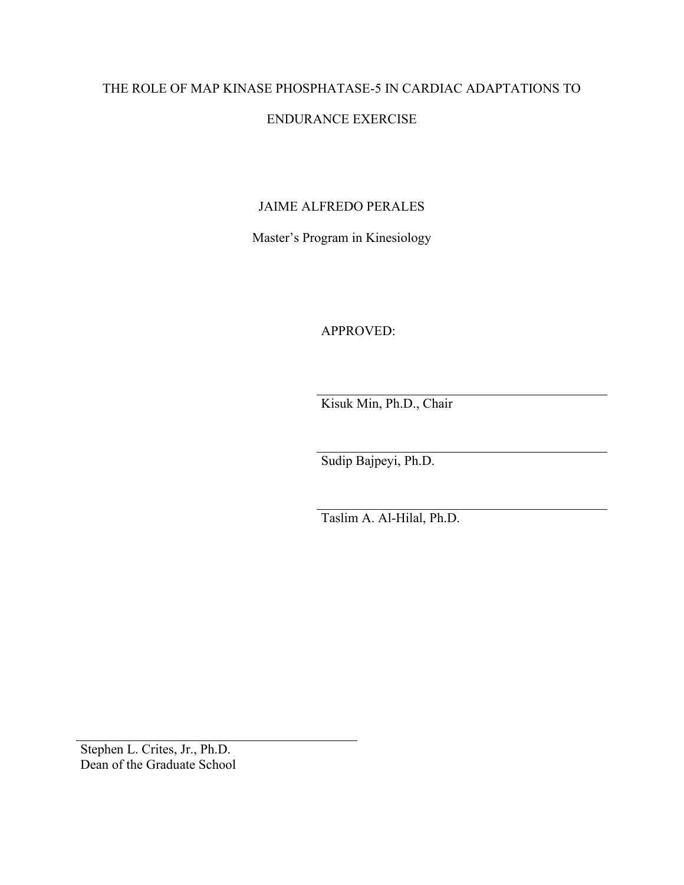# THE ROLE OF MAP KINASE PHOSPHATASE-5 IN CARDIAC ADAPTATIONS TO

# ENDURANCE EXERCISE

# JAIME ALFREDO PERALES

Master's Program in Kinesiology

APPROVED:

Kisuk Min, Ph.D., Chair

Sudip Bajpeyi, Ph.D.

Taslim A. Al-Hilal, Ph.D.

Stephen L. Crites, Jr., Ph.D. Dean of the Graduate School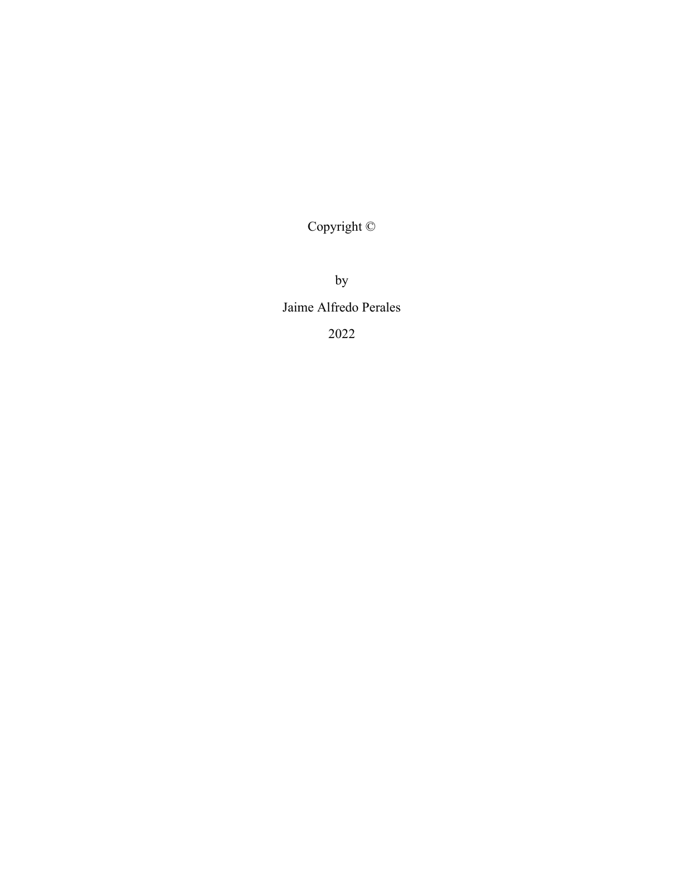Copyright ©

by Jaime Alfredo Perales 2022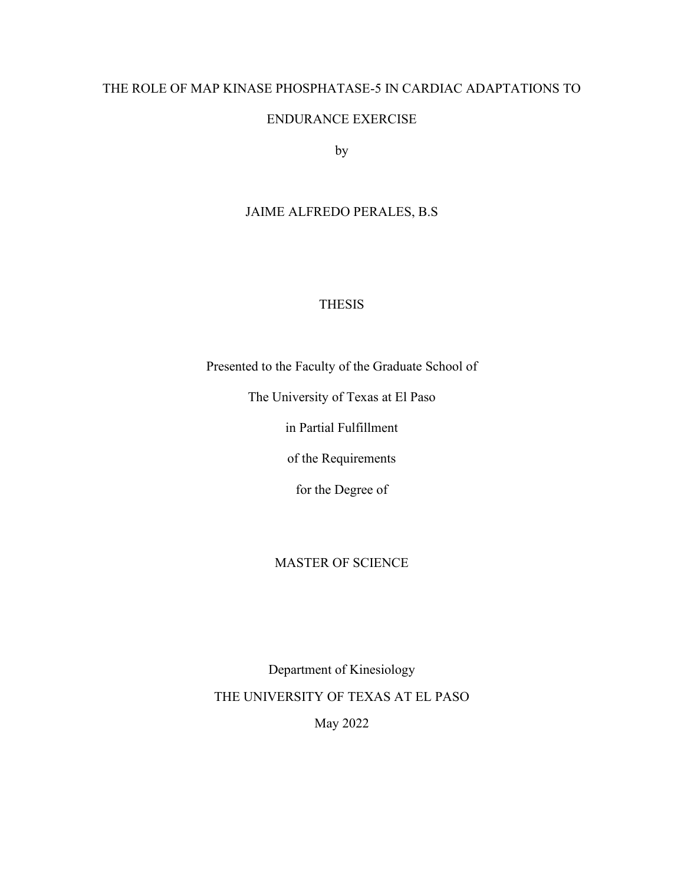## THE ROLE OF MAP KINASE PHOSPHATASE-5 IN CARDIAC ADAPTATIONS TO

## ENDURANCE EXERCISE

by

# JAIME ALFREDO PERALES, B.S

## THESIS

Presented to the Faculty of the Graduate School of

The University of Texas at El Paso

in Partial Fulfillment

of the Requirements

for the Degree of

## MASTER OF SCIENCE

Department of Kinesiology THE UNIVERSITY OF TEXAS AT EL PASO May 2022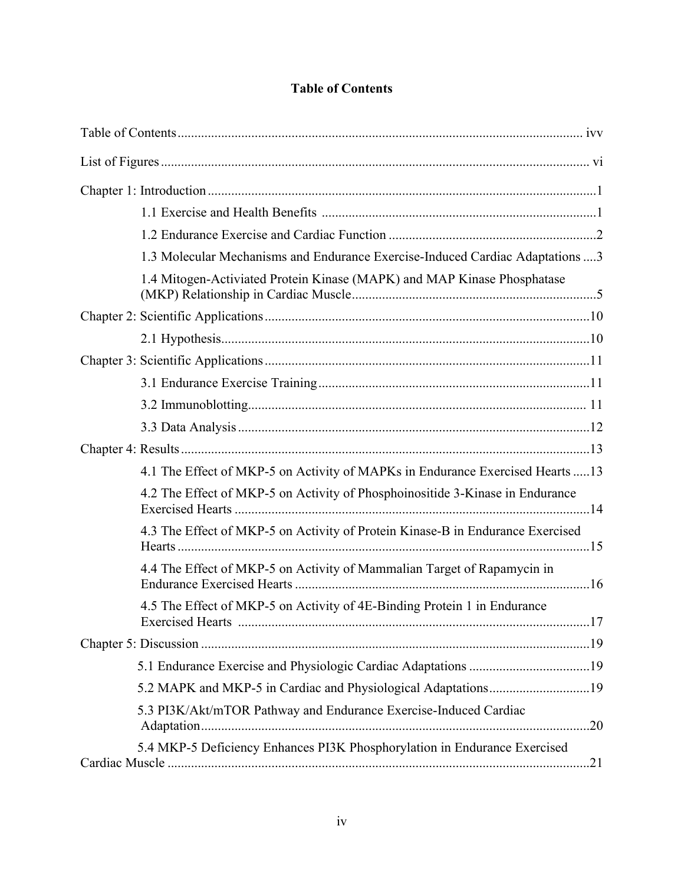# **Table of Contents**

<span id="page-4-0"></span>

| 1.3 Molecular Mechanisms and Endurance Exercise-Induced Cardiac Adaptations  3 |
|--------------------------------------------------------------------------------|
| 1.4 Mitogen-Activiated Protein Kinase (MAPK) and MAP Kinase Phosphatase        |
|                                                                                |
|                                                                                |
|                                                                                |
|                                                                                |
|                                                                                |
|                                                                                |
|                                                                                |
| 4.1 The Effect of MKP-5 on Activity of MAPKs in Endurance Exercised Hearts  13 |
| 4.2 The Effect of MKP-5 on Activity of Phosphoinositide 3-Kinase in Endurance  |
| 4.3 The Effect of MKP-5 on Activity of Protein Kinase-B in Endurance Exercised |
| 4.4 The Effect of MKP-5 on Activity of Mammalian Target of Rapamycin in        |
| 4.5 The Effect of MKP-5 on Activity of 4E-Binding Protein 1 in Endurance       |
|                                                                                |
|                                                                                |
|                                                                                |
| 5.3 PI3K/Akt/mTOR Pathway and Endurance Exercise-Induced Cardiac               |
| 5.4 MKP-5 Deficiency Enhances PI3K Phosphorylation in Endurance Exercised      |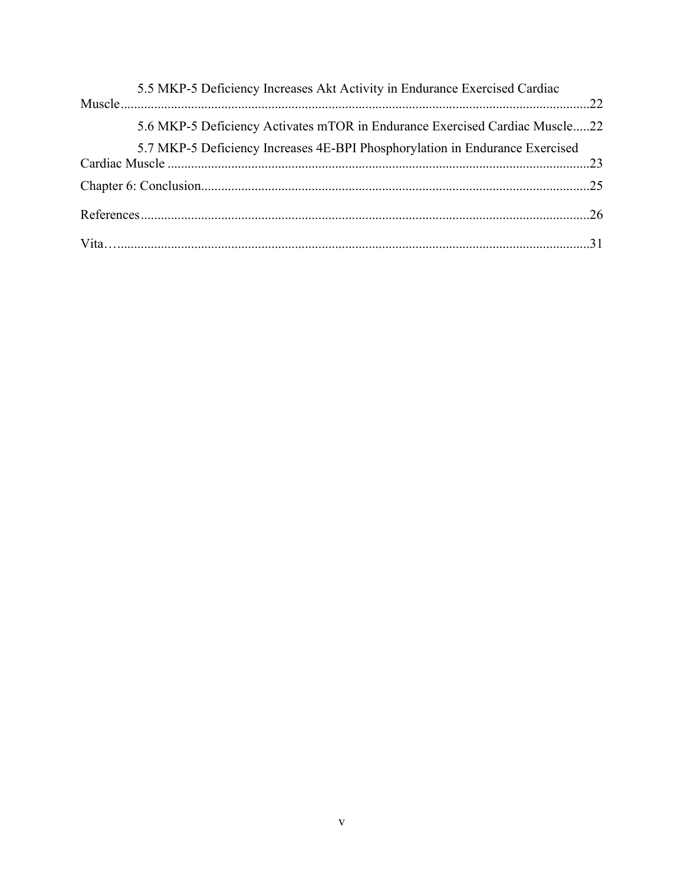| 5.5 MKP-5 Deficiency Increases Akt Activity in Endurance Exercised Cardiac   |  |
|------------------------------------------------------------------------------|--|
| 5.6 MKP-5 Deficiency Activates mTOR in Endurance Exercised Cardiac Muscle22  |  |
| 5.7 MKP-5 Deficiency Increases 4E-BPI Phosphorylation in Endurance Exercised |  |
|                                                                              |  |
|                                                                              |  |
|                                                                              |  |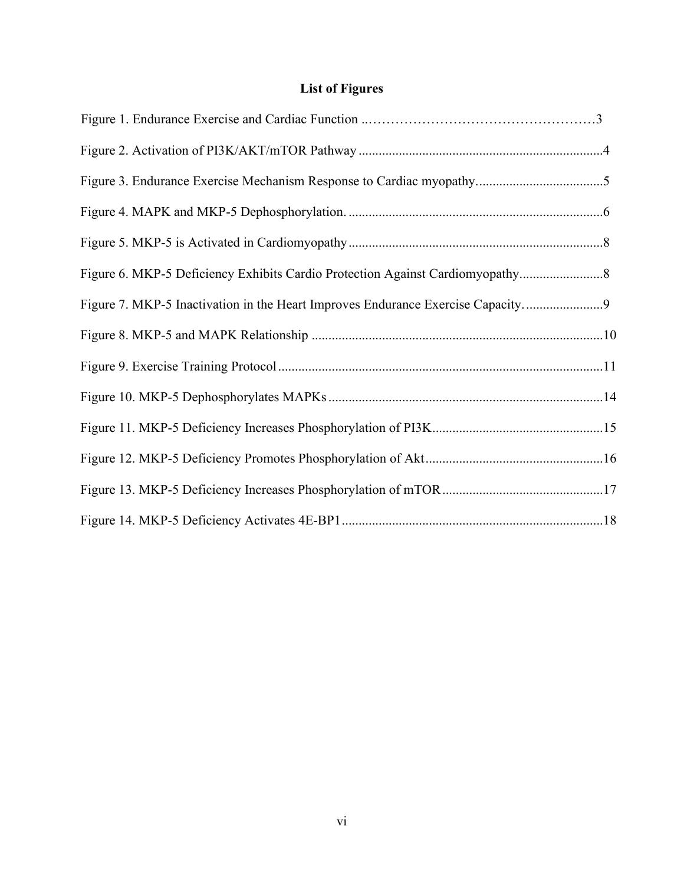# **List of Figures**

<span id="page-6-0"></span>

| Figure 6. MKP-5 Deficiency Exhibits Cardio Protection Against Cardiomyopathy    |  |
|---------------------------------------------------------------------------------|--|
| Figure 7. MKP-5 Inactivation in the Heart Improves Endurance Exercise Capacity9 |  |
|                                                                                 |  |
|                                                                                 |  |
|                                                                                 |  |
|                                                                                 |  |
|                                                                                 |  |
|                                                                                 |  |
|                                                                                 |  |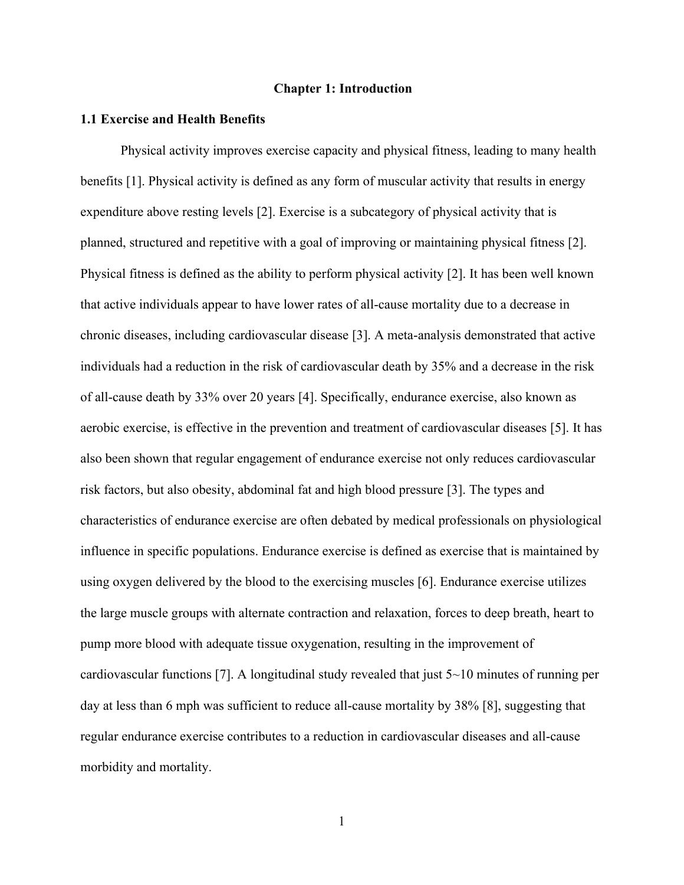#### <span id="page-7-0"></span>**Chapter 1: Introduction**

#### **1.1 Exercise and Health Benefits**

<span id="page-7-1"></span>Physical activity improves exercise capacity and physical fitness, leading to many health benefits [1]. Physical activity is defined as any form of muscular activity that results in energy expenditure above resting levels [2]. Exercise is a subcategory of physical activity that is planned, structured and repetitive with a goal of improving or maintaining physical fitness [2]. Physical fitness is defined as the ability to perform physical activity [2]. It has been well known that active individuals appear to have lower rates of all-cause mortality due to a decrease in chronic diseases, including cardiovascular disease [3]. A meta-analysis demonstrated that active individuals had a reduction in the risk of cardiovascular death by 35% and a decrease in the risk of all-cause death by 33% over 20 years [4]. Specifically, endurance exercise, also known as aerobic exercise, is effective in the prevention and treatment of cardiovascular diseases [5]. It has also been shown that regular engagement of endurance exercise not only reduces cardiovascular risk factors, but also obesity, abdominal fat and high blood pressure [3]. The types and characteristics of endurance exercise are often debated by medical professionals on physiological influence in specific populations. Endurance exercise is defined as exercise that is maintained by using oxygen delivered by the blood to the exercising muscles [6]. Endurance exercise utilizes the large muscle groups with alternate contraction and relaxation, forces to deep breath, heart to pump more blood with adequate tissue oxygenation, resulting in the improvement of cardiovascular functions [7]. A longitudinal study revealed that just  $5 \sim 10$  minutes of running per day at less than 6 mph was sufficient to reduce all-cause mortality by 38% [8], suggesting that regular endurance exercise contributes to a reduction in cardiovascular diseases and all-cause morbidity and mortality.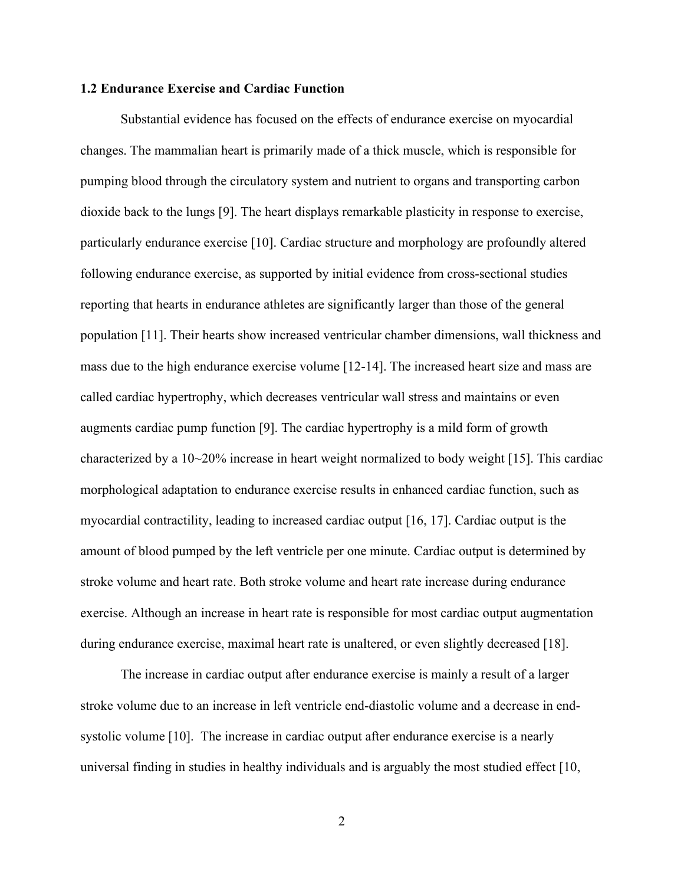#### **1.2 Endurance Exercise and Cardiac Function**

Substantial evidence has focused on the effects of endurance exercise on myocardial changes. The mammalian heart is primarily made of a thick muscle, which is responsible for pumping blood through the circulatory system and nutrient to organs and transporting carbon dioxide back to the lungs [9]. The heart displays remarkable plasticity in response to exercise, particularly endurance exercise [10]. Cardiac structure and morphology are profoundly altered following endurance exercise, as supported by initial evidence from cross-sectional studies reporting that hearts in endurance athletes are significantly larger than those of the general population [11]. Their hearts show increased ventricular chamber dimensions, wall thickness and mass due to the high endurance exercise volume [12-14]. The increased heart size and mass are called cardiac hypertrophy, which decreases ventricular wall stress and maintains or even augments cardiac pump function [9]. The cardiac hypertrophy is a mild form of growth characterized by a 10~20% increase in heart weight normalized to body weight [15]. This cardiac morphological adaptation to endurance exercise results in enhanced cardiac function, such as myocardial contractility, leading to increased cardiac output [16, 17]. Cardiac output is the amount of blood pumped by the left ventricle per one minute. Cardiac output is determined by stroke volume and heart rate. Both stroke volume and heart rate increase during endurance exercise. Although an increase in heart rate is responsible for most cardiac output augmentation during endurance exercise, maximal heart rate is unaltered, or even slightly decreased [18].

The increase in cardiac output after endurance exercise is mainly a result of a larger stroke volume due to an increase in left ventricle end-diastolic volume and a decrease in endsystolic volume [10]. The increase in cardiac output after endurance exercise is a nearly universal finding in studies in healthy individuals and is arguably the most studied effect [10,

2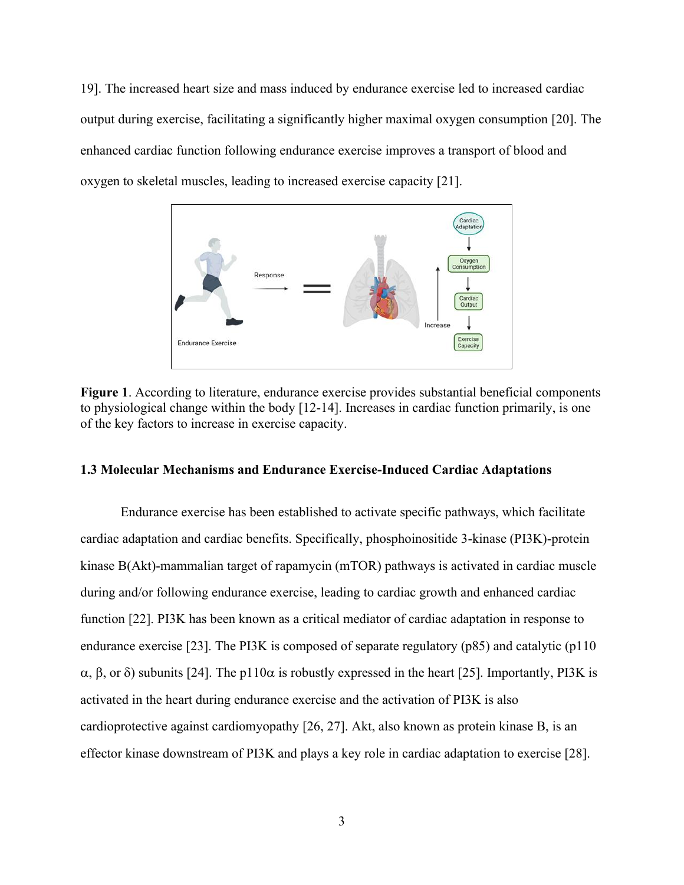19]. The increased heart size and mass induced by endurance exercise led to increased cardiac output during exercise, facilitating a significantly higher maximal oxygen consumption [20]. The enhanced cardiac function following endurance exercise improves a transport of blood and oxygen to skeletal muscles, leading to increased exercise capacity [21].



**Figure 1**. According to literature, endurance exercise provides substantial beneficial components to physiological change within the body [12-14]. Increases in cardiac function primarily, is one of the key factors to increase in exercise capacity.

#### **1.3 Molecular Mechanisms and Endurance Exercise-Induced Cardiac Adaptations**

Endurance exercise has been established to activate specific pathways, which facilitate cardiac adaptation and cardiac benefits. Specifically, phosphoinositide 3-kinase (PI3K)-protein kinase B(Akt)-mammalian target of rapamycin (mTOR) pathways is activated in cardiac muscle during and/or following endurance exercise, leading to cardiac growth and enhanced cardiac function [22]. PI3K has been known as a critical mediator of cardiac adaptation in response to endurance exercise [23]. The PI3K is composed of separate regulatory (p85) and catalytic (p110  $\alpha$ ,  $\beta$ , or  $\delta$ ) subunits [24]. The p110 $\alpha$  is robustly expressed in the heart [25]. Importantly, PI3K is activated in the heart during endurance exercise and the activation of PI3K is also cardioprotective against cardiomyopathy [26, 27]. Akt, also known as protein kinase B, is an effector kinase downstream of PI3K and plays a key role in cardiac adaptation to exercise [28].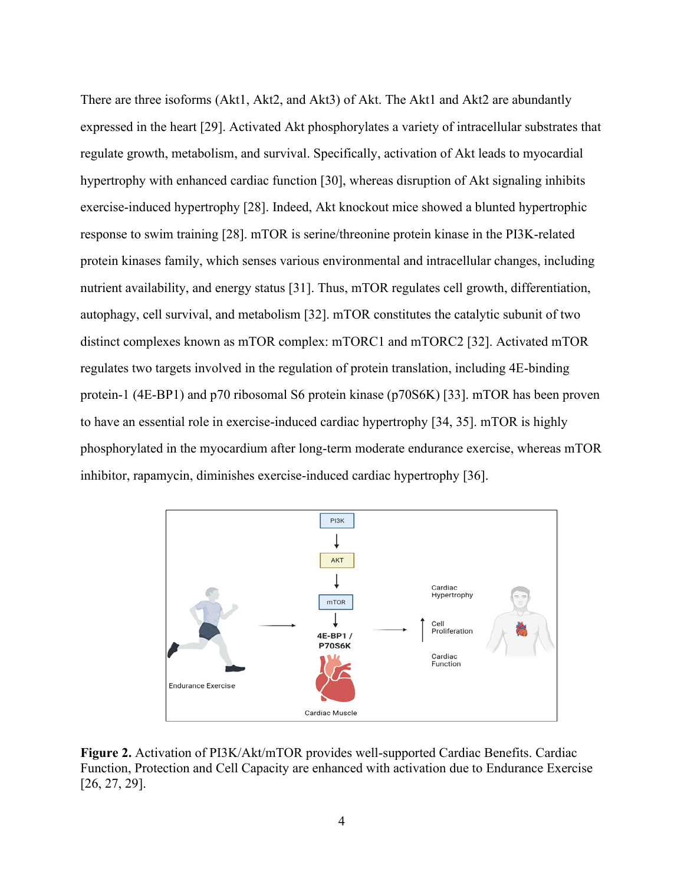There are three isoforms (Akt1, Akt2, and Akt3) of Akt. The Akt1 and Akt2 are abundantly expressed in the heart [29]. Activated Akt phosphorylates a variety of intracellular substrates that regulate growth, metabolism, and survival. Specifically, activation of Akt leads to myocardial hypertrophy with enhanced cardiac function [30], whereas disruption of Akt signaling inhibits exercise-induced hypertrophy [28]. Indeed, Akt knockout mice showed a blunted hypertrophic response to swim training [28]. mTOR is serine/threonine protein kinase in the PI3K-related protein kinases family, which senses various environmental and intracellular changes, including nutrient availability, and energy status [31]. Thus, mTOR regulates cell growth, differentiation, autophagy, cell survival, and metabolism [32]. mTOR constitutes the catalytic subunit of two distinct complexes known as mTOR complex: mTORC1 and mTORC2 [32]. Activated mTOR regulates two targets involved in the regulation of protein translation, including 4E-binding protein-1 (4E-BP1) and p70 ribosomal S6 protein kinase (p70S6K) [33]. mTOR has been proven to have an essential role in exercise-induced cardiac hypertrophy [34, 35]. mTOR is highly phosphorylated in the myocardium after long-term moderate endurance exercise, whereas mTOR inhibitor, rapamycin, diminishes exercise-induced cardiac hypertrophy [36].



**Figure 2.** Activation of PI3K/Akt/mTOR provides well-supported Cardiac Benefits. Cardiac Function, Protection and Cell Capacity are enhanced with activation due to Endurance Exercise [26, 27, 29].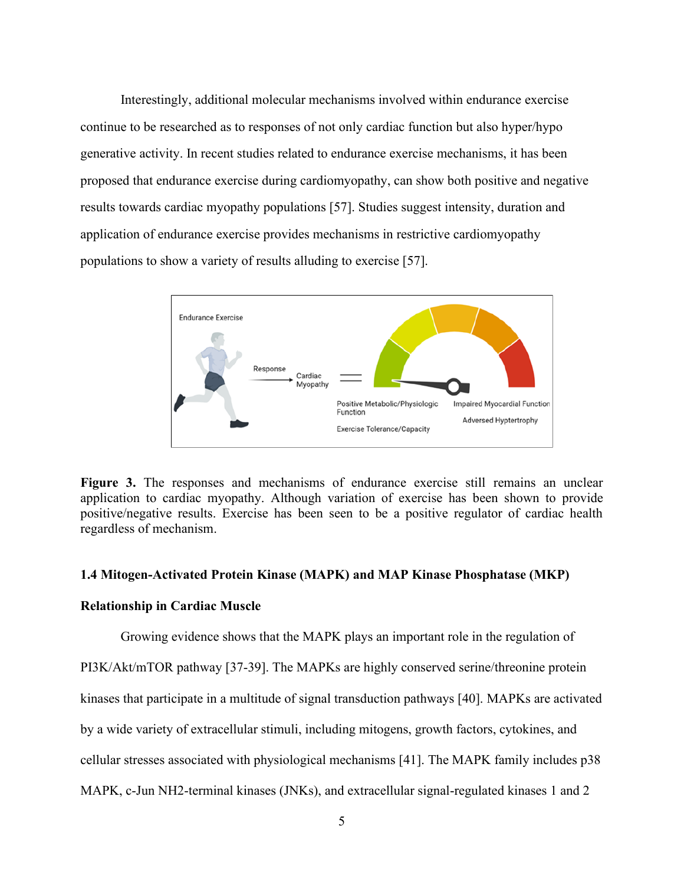Interestingly, additional molecular mechanisms involved within endurance exercise continue to be researched as to responses of not only cardiac function but also hyper/hypo generative activity. In recent studies related to endurance exercise mechanisms, it has been proposed that endurance exercise during cardiomyopathy, can show both positive and negative results towards cardiac myopathy populations [57]. Studies suggest intensity, duration and application of endurance exercise provides mechanisms in restrictive cardiomyopathy populations to show a variety of results alluding to exercise [57].



Figure 3. The responses and mechanisms of endurance exercise still remains an unclear application to cardiac myopathy. Although variation of exercise has been shown to provide positive/negative results. Exercise has been seen to be a positive regulator of cardiac health regardless of mechanism.

#### **1.4 Mitogen-Activated Protein Kinase (MAPK) and MAP Kinase Phosphatase (MKP)**

#### **Relationship in Cardiac Muscle**

Growing evidence shows that the MAPK plays an important role in the regulation of PI3K/Akt/mTOR pathway [37-39]. The MAPKs are highly conserved serine/threonine protein kinases that participate in a multitude of signal transduction pathways [40]. MAPKs are activated by a wide variety of extracellular stimuli, including mitogens, growth factors, cytokines, and cellular stresses associated with physiological mechanisms [41]. The MAPK family includes p38 MAPK, c-Jun NH2-terminal kinases (JNKs), and extracellular signal-regulated kinases 1 and 2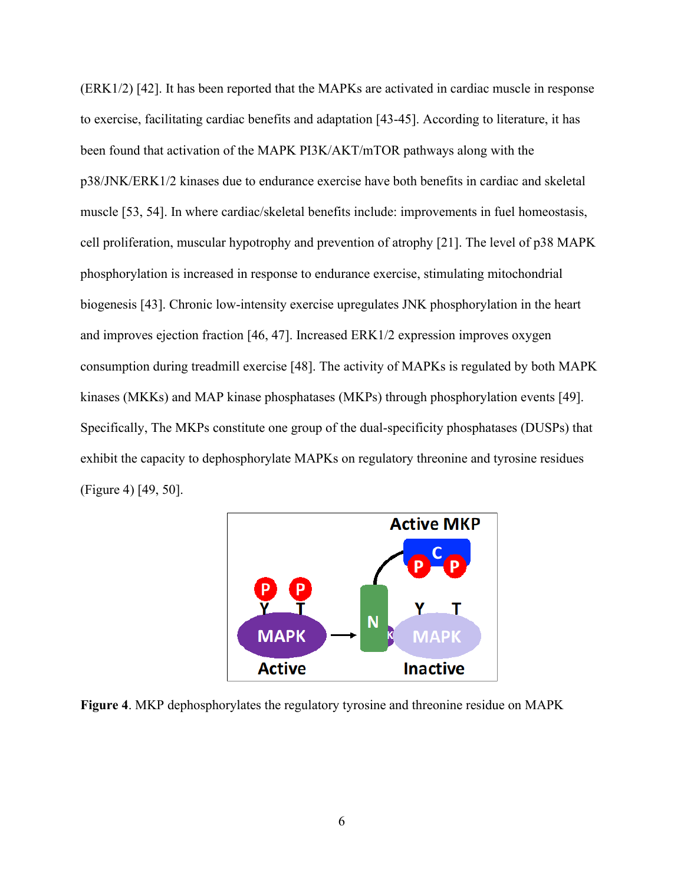(ERK1/2) [42]. It has been reported that the MAPKs are activated in cardiac muscle in response to exercise, facilitating cardiac benefits and adaptation [43-45]. According to literature, it has been found that activation of the MAPK PI3K/AKT/mTOR pathways along with the p38/JNK/ERK1/2 kinases due to endurance exercise have both benefits in cardiac and skeletal muscle [53, 54]. In where cardiac/skeletal benefits include: improvements in fuel homeostasis, cell proliferation, muscular hypotrophy and prevention of atrophy [21]. The level of p38 MAPK phosphorylation is increased in response to endurance exercise, stimulating mitochondrial biogenesis [43]. Chronic low-intensity exercise upregulates JNK phosphorylation in the heart and improves ejection fraction [46, 47]. Increased ERK1/2 expression improves oxygen consumption during treadmill exercise [48]. The activity of MAPKs is regulated by both MAPK kinases (MKKs) and MAP kinase phosphatases (MKPs) through phosphorylation events [49]. Specifically, The MKPs constitute one group of the dual-specificity phosphatases (DUSPs) that exhibit the capacity to dephosphorylate MAPKs on regulatory threonine and tyrosine residues (Figure 4) [49, 50].



**Figure 4**. MKP dephosphorylates the regulatory tyrosine and threonine residue on MAPK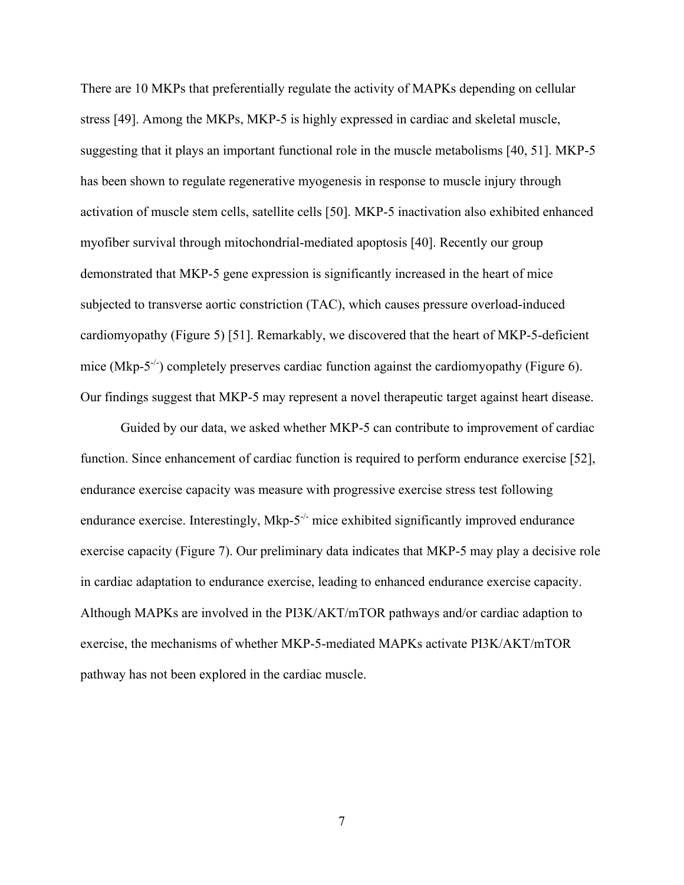There are 10 MKPs that preferentially regulate the activity of MAPKs depending on cellular stress [49]. Among the MKPs, MKP-5 is highly expressed in cardiac and skeletal muscle, suggesting that it plays an important functional role in the muscle metabolisms [40, 51]. MKP-5 has been shown to regulate regenerative myogenesis in response to muscle injury through activation of muscle stem cells, satellite cells [50]. MKP-5 inactivation also exhibited enhanced myofiber survival through mitochondrial-mediated apoptosis [40]. Recently our group demonstrated that MKP-5 gene expression is significantly increased in the heart of mice subjected to transverse aortic constriction (TAC), which causes pressure overload-induced cardiomyopathy (Figure 5) [51]. Remarkably, we discovered that the heart of MKP-5-deficient mice (Mkp-5<sup>-/-</sup>) completely preserves cardiac function against the cardiomyopathy (Figure 6). Our findings suggest that MKP-5 may represent a novel therapeutic target against heart disease.

Guided by our data, we asked whether MKP-5 can contribute to improvement of cardiac function. Since enhancement of cardiac function is required to perform endurance exercise [52], endurance exercise capacity was measure with progressive exercise stress test following endurance exercise. Interestingly, Mkp- $5^{-/-}$  mice exhibited significantly improved endurance exercise capacity (Figure 7). Our preliminary data indicates that MKP-5 may play a decisive role in cardiac adaptation to endurance exercise, leading to enhanced endurance exercise capacity. Although MAPKs are involved in the PI3K/AKT/mTOR pathways and/or cardiac adaption to exercise, the mechanisms of whether MKP-5-mediated MAPKs activate PI3K/AKT/mTOR pathway has not been explored in the cardiac muscle.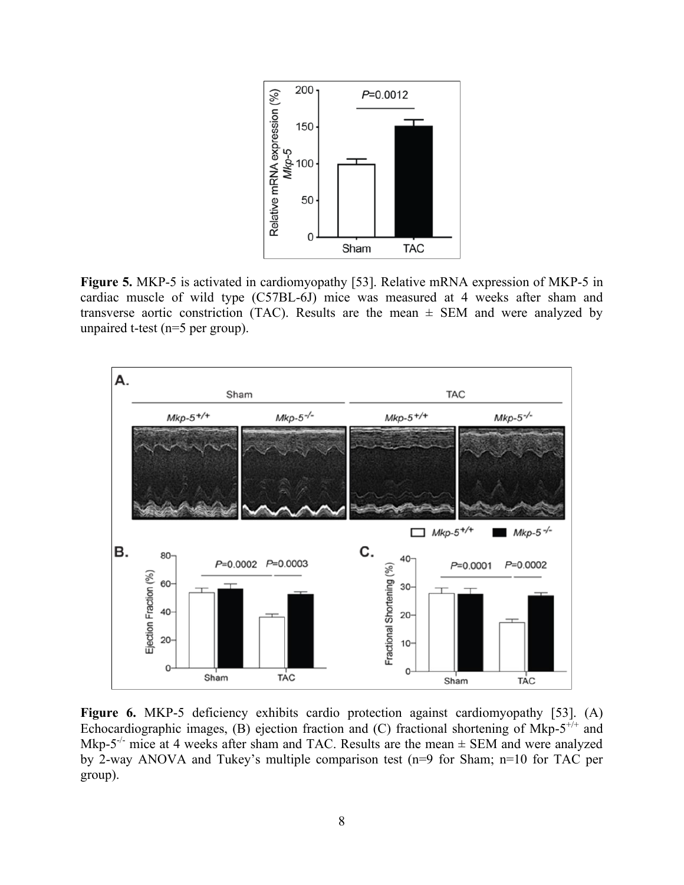

**Figure 5.** MKP-5 is activated in cardiomyopathy [53]. Relative mRNA expression of MKP-5 in cardiac muscle of wild type (C57BL-6J) mice was measured at 4 weeks after sham and transverse aortic constriction (TAC). Results are the mean  $\pm$  SEM and were analyzed by unpaired t-test (n=5 per group).



Figure 6. MKP-5 deficiency exhibits cardio protection against cardiomyopathy [53]. (A) Echocardiographic images, (B) ejection fraction and (C) fractional shortening of Mkp- $5^{+/+}$  and Mkp-5<sup>-/-</sup> mice at 4 weeks after sham and TAC. Results are the mean  $\pm$  SEM and were analyzed by 2-way ANOVA and Tukey's multiple comparison test (n=9 for Sham; n=10 for TAC per group).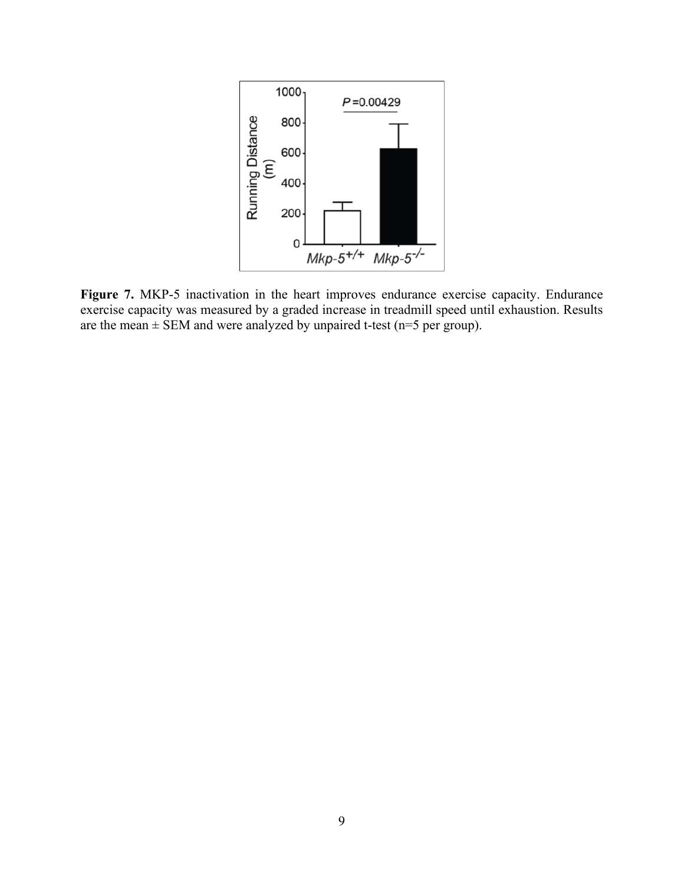

**Figure 7.** MKP-5 inactivation in the heart improves endurance exercise capacity. Endurance exercise capacity was measured by a graded increase in treadmill speed until exhaustion. Results are the mean  $\pm$  SEM and were analyzed by unpaired t-test (n=5 per group).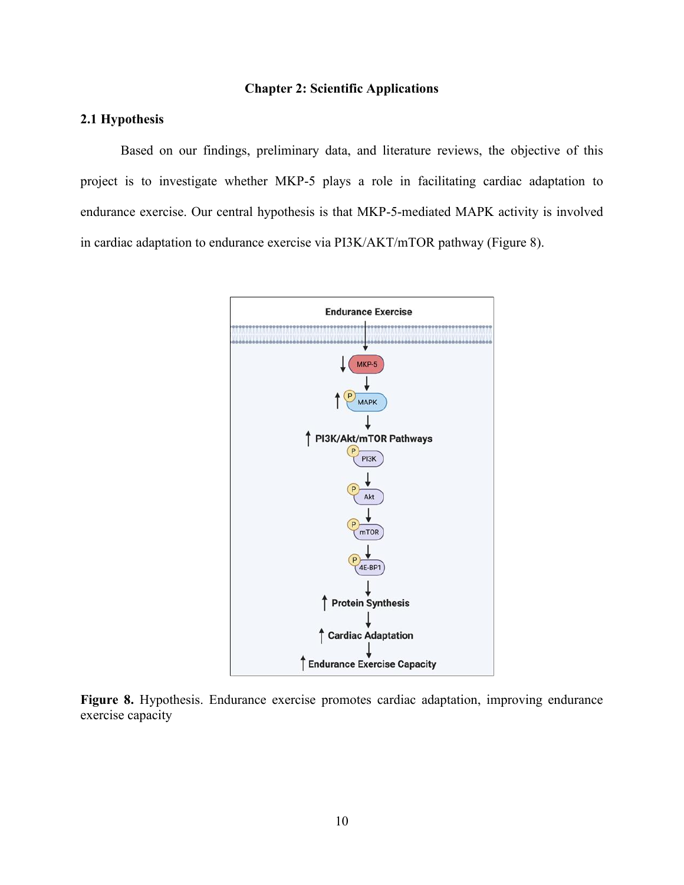#### **Chapter 2: Scientific Applications**

## <span id="page-16-1"></span><span id="page-16-0"></span>**2.1 Hypothesis**

Based on our findings, preliminary data, and literature reviews, the objective of this project is to investigate whether MKP-5 plays a role in facilitating cardiac adaptation to endurance exercise. Our central hypothesis is that MKP-5-mediated MAPK activity is involved in cardiac adaptation to endurance exercise via PI3K/AKT/mTOR pathway (Figure 8).



**Figure 8.** Hypothesis. Endurance exercise promotes cardiac adaptation, improving endurance exercise capacity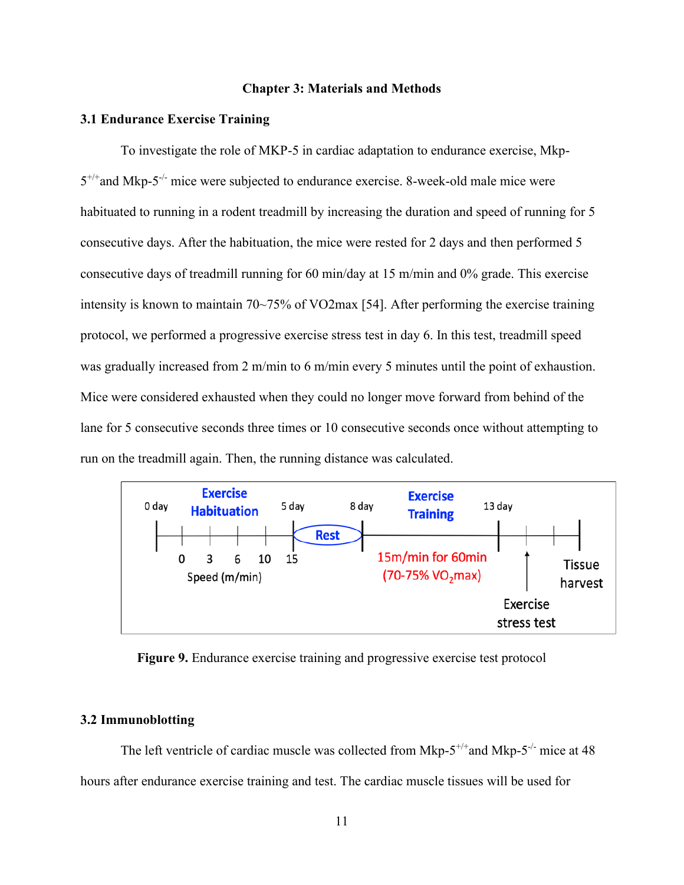#### **Chapter 3: Materials and Methods**

#### **3.1 Endurance Exercise Training**

To investigate the role of MKP-5 in cardiac adaptation to endurance exercise, Mkp- $5^{+/+}$ and Mkp- $5^{-/-}$  mice were subjected to endurance exercise. 8-week-old male mice were habituated to running in a rodent treadmill by increasing the duration and speed of running for 5 consecutive days. After the habituation, the mice were rested for 2 days and then performed 5 consecutive days of treadmill running for 60 min/day at 15 m/min and 0% grade. This exercise intensity is known to maintain 70~75% of VO2max [54]. After performing the exercise training protocol, we performed a progressive exercise stress test in day 6. In this test, treadmill speed was gradually increased from 2 m/min to 6 m/min every 5 minutes until the point of exhaustion. Mice were considered exhausted when they could no longer move forward from behind of the lane for 5 consecutive seconds three times or 10 consecutive seconds once without attempting to run on the treadmill again. Then, the running distance was calculated.



**Figure 9.** Endurance exercise training and progressive exercise test protocol

#### **3.2 Immunoblotting**

The left ventricle of cardiac muscle was collected from Mkp- $5^{+/+}$  and Mkp- $5^{-/-}$  mice at 48 hours after endurance exercise training and test. The cardiac muscle tissues will be used for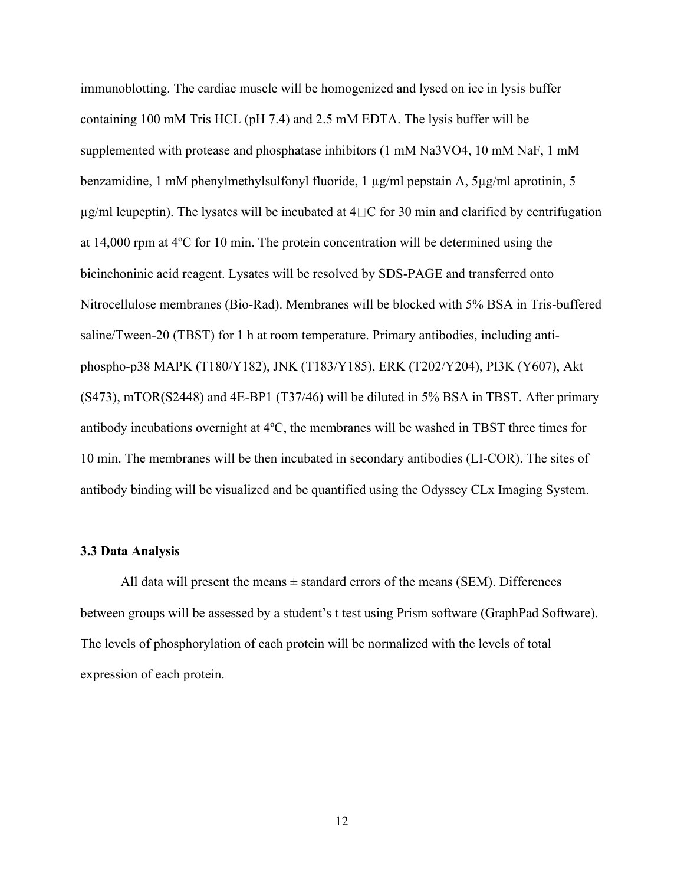immunoblotting. The cardiac muscle will be homogenized and lysed on ice in lysis buffer containing 100 mM Tris HCL (pH 7.4) and 2.5 mM EDTA. The lysis buffer will be supplemented with protease and phosphatase inhibitors (1 mM Na3VO4, 10 mM NaF, 1 mM benzamidine, 1 mM phenylmethylsulfonyl fluoride, 1 µg/ml pepstain A, 5µg/ml aprotinin, 5  $\mu$ g/ml leupeptin). The lysates will be incubated at  $4 \square C$  for 30 min and clarified by centrifugation at 14,000 rpm at 4ºC for 10 min. The protein concentration will be determined using the bicinchoninic acid reagent. Lysates will be resolved by SDS-PAGE and transferred onto Nitrocellulose membranes (Bio-Rad). Membranes will be blocked with 5% BSA in Tris-buffered saline/Tween-20 (TBST) for 1 h at room temperature. Primary antibodies, including antiphospho-p38 MAPK (T180/Y182), JNK (T183/Y185), ERK (T202/Y204), PI3K (Y607), Akt (S473), mTOR(S2448) and 4E-BP1 (T37/46) will be diluted in 5% BSA in TBST. After primary antibody incubations overnight at 4ºC, the membranes will be washed in TBST three times for 10 min. The membranes will be then incubated in secondary antibodies (LI-COR). The sites of antibody binding will be visualized and be quantified using the Odyssey CLx Imaging System.

#### **3.3 Data Analysis**

All data will present the means  $\pm$  standard errors of the means (SEM). Differences between groups will be assessed by a student's t test using Prism software (GraphPad Software). The levels of phosphorylation of each protein will be normalized with the levels of total expression of each protein.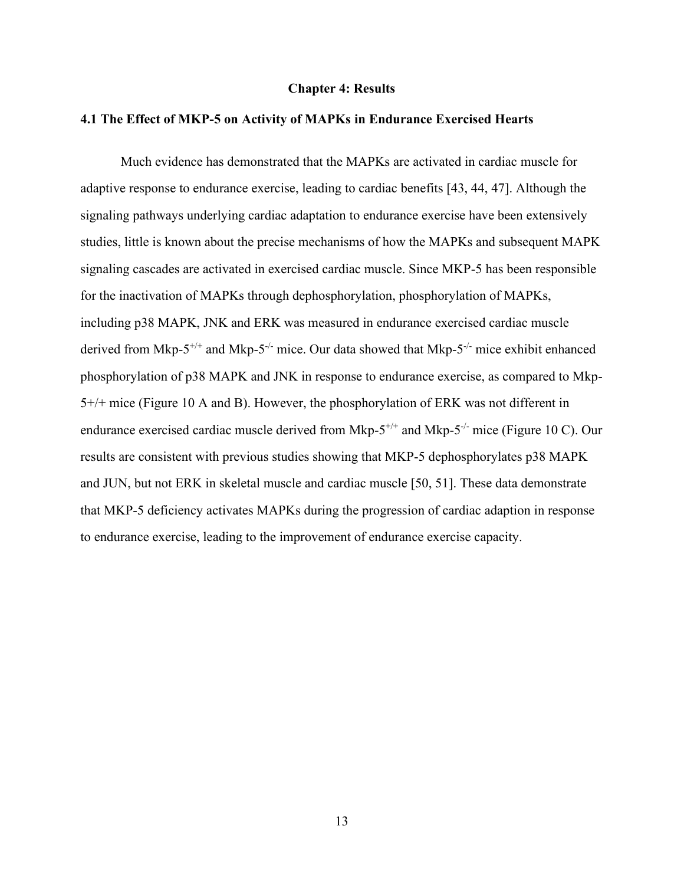#### **Chapter 4: Results**

#### **4.1 The Effect of MKP-5 on Activity of MAPKs in Endurance Exercised Hearts**

Much evidence has demonstrated that the MAPKs are activated in cardiac muscle for adaptive response to endurance exercise, leading to cardiac benefits [43, 44, 47]. Although the signaling pathways underlying cardiac adaptation to endurance exercise have been extensively studies, little is known about the precise mechanisms of how the MAPKs and subsequent MAPK signaling cascades are activated in exercised cardiac muscle. Since MKP-5 has been responsible for the inactivation of MAPKs through dephosphorylation, phosphorylation of MAPKs, including p38 MAPK, JNK and ERK was measured in endurance exercised cardiac muscle derived from Mkp-5<sup>+/+</sup> and Mkp-5<sup>-/-</sup> mice. Our data showed that Mkp-5<sup>-/-</sup> mice exhibit enhanced phosphorylation of p38 MAPK and JNK in response to endurance exercise, as compared to Mkp-5+/+ mice (Figure 10 A and B). However, the phosphorylation of ERK was not different in endurance exercised cardiac muscle derived from Mkp- $5^{+/+}$  and Mkp- $5^{-/-}$  mice (Figure 10 C). Our results are consistent with previous studies showing that MKP-5 dephosphorylates p38 MAPK and JUN, but not ERK in skeletal muscle and cardiac muscle [50, 51]. These data demonstrate that MKP-5 deficiency activates MAPKs during the progression of cardiac adaption in response to endurance exercise, leading to the improvement of endurance exercise capacity.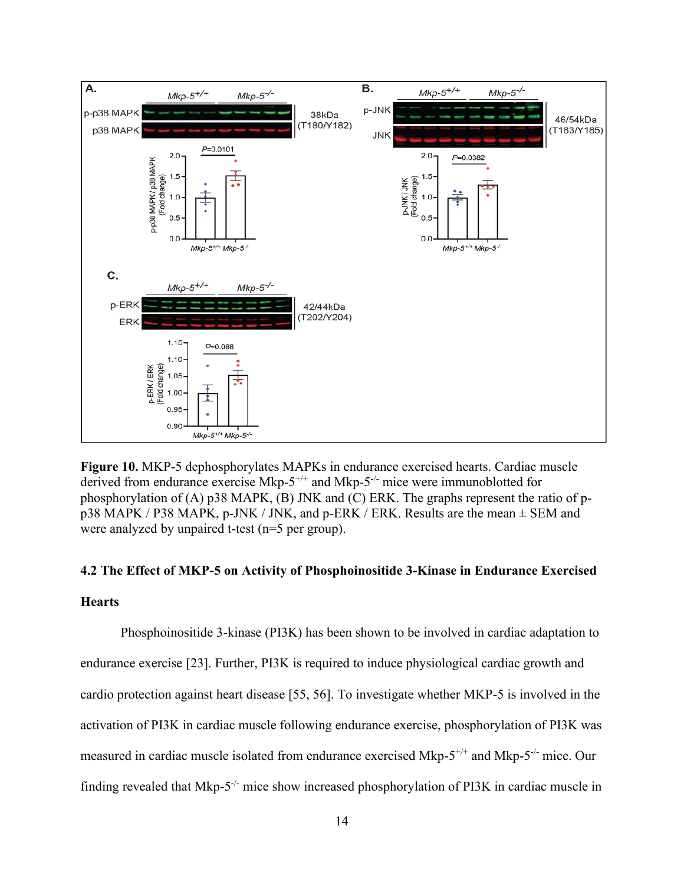

**Figure 10.** MKP-5 dephosphorylates MAPKs in endurance exercised hearts. Cardiac muscle derived from endurance exercise Mkp- $5^{+/+}$  and Mkp- $5^{-/-}$  mice were immunoblotted for phosphorylation of (A) p38 MAPK, (B) JNK and (C) ERK. The graphs represent the ratio of pp38 MAPK / P38 MAPK, p-JNK / JNK, and p-ERK / ERK. Results are the mean ± SEM and were analyzed by unpaired t-test (n=5 per group).

# **4.2 The Effect of MKP-5 on Activity of Phosphoinositide 3-Kinase in Endurance Exercised**

# **Hearts**

Phosphoinositide 3-kinase (PI3K) has been shown to be involved in cardiac adaptation to endurance exercise [23]. Further, PI3K is required to induce physiological cardiac growth and cardio protection against heart disease [55, 56]. To investigate whether MKP-5 is involved in the activation of PI3K in cardiac muscle following endurance exercise, phosphorylation of PI3K was measured in cardiac muscle isolated from endurance exercised Mkp- $5^{+/+}$  and Mkp- $5^{-/-}$  mice. Our finding revealed that Mkp- $5^{-/-}$  mice show increased phosphorylation of PI3K in cardiac muscle in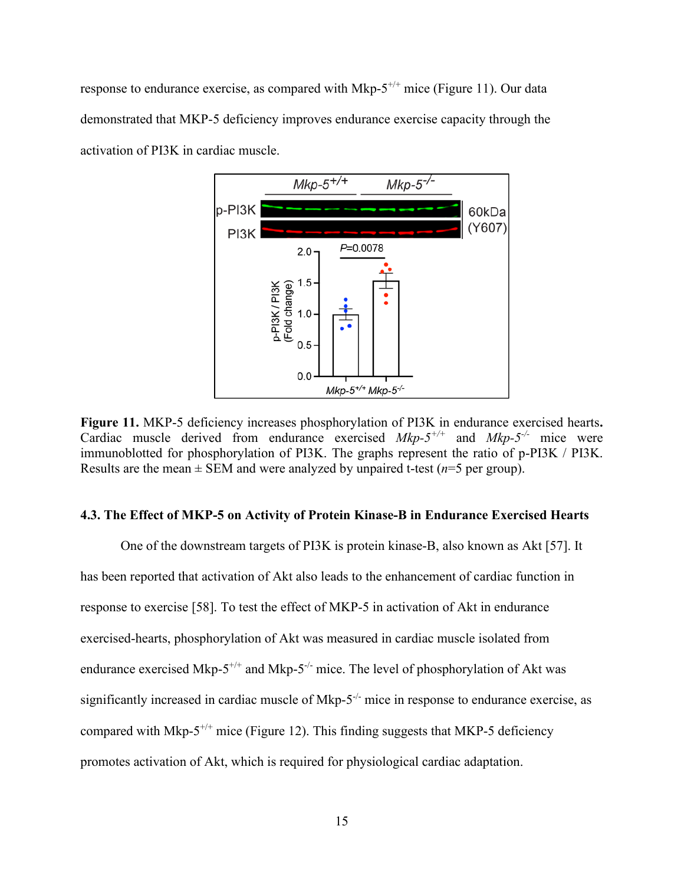response to endurance exercise, as compared with Mkp- $5^{+/+}$  mice (Figure 11). Our data demonstrated that MKP-5 deficiency improves endurance exercise capacity through the activation of PI3K in cardiac muscle.



**Figure 11.** MKP-5 deficiency increases phosphorylation of PI3K in endurance exercised hearts**.**  Cardiac muscle derived from endurance exercised  $Mkp-5^{+/+}$  and  $Mkp-5^{-/-}$  mice were immunoblotted for phosphorylation of PI3K. The graphs represent the ratio of p-PI3K / PI3K. Results are the mean  $\pm$  SEM and were analyzed by unpaired t-test ( $n=5$  per group).

#### **4.3. The Effect of MKP-5 on Activity of Protein Kinase-B in Endurance Exercised Hearts**

One of the downstream targets of PI3K is protein kinase-B, also known as Akt [57]. It has been reported that activation of Akt also leads to the enhancement of cardiac function in response to exercise [58]. To test the effect of MKP-5 in activation of Akt in endurance exercised-hearts, phosphorylation of Akt was measured in cardiac muscle isolated from endurance exercised Mkp- $5^{+/+}$  and Mkp- $5^{-/-}$  mice. The level of phosphorylation of Akt was significantly increased in cardiac muscle of Mkp-5<sup>-/-</sup> mice in response to endurance exercise, as compared with Mkp- $5^{+/+}$  mice (Figure 12). This finding suggests that MKP-5 deficiency promotes activation of Akt, which is required for physiological cardiac adaptation.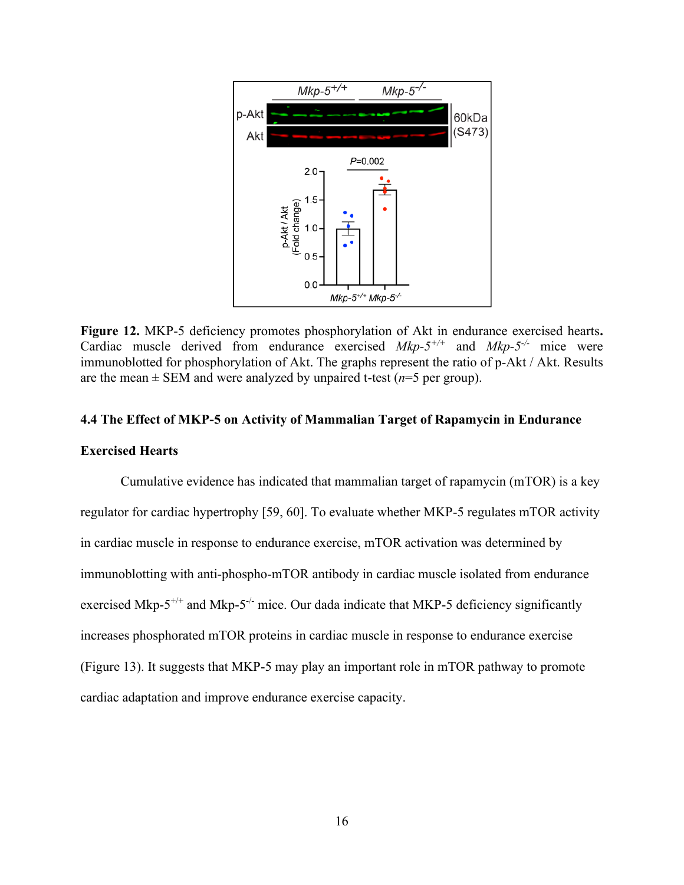

**Figure 12.** MKP-5 deficiency promotes phosphorylation of Akt in endurance exercised hearts**.**  Cardiac muscle derived from endurance exercised  $Mkp-5^{+/+}$  and  $Mkp-5^{-/-}$  mice were immunoblotted for phosphorylation of Akt. The graphs represent the ratio of p-Akt / Akt. Results are the mean  $\pm$  SEM and were analyzed by unpaired t-test ( $n=5$  per group).

#### **4.4 The Effect of MKP-5 on Activity of Mammalian Target of Rapamycin in Endurance**

#### **Exercised Hearts**

Cumulative evidence has indicated that mammalian target of rapamycin (mTOR) is a key regulator for cardiac hypertrophy [59, 60]. To evaluate whether MKP-5 regulates mTOR activity in cardiac muscle in response to endurance exercise, mTOR activation was determined by immunoblotting with anti-phospho-mTOR antibody in cardiac muscle isolated from endurance exercised Mkp- $5^{+/+}$  and Mkp- $5^{-/-}$  mice. Our dada indicate that MKP-5 deficiency significantly increases phosphorated mTOR proteins in cardiac muscle in response to endurance exercise (Figure 13). It suggests that MKP-5 may play an important role in mTOR pathway to promote cardiac adaptation and improve endurance exercise capacity.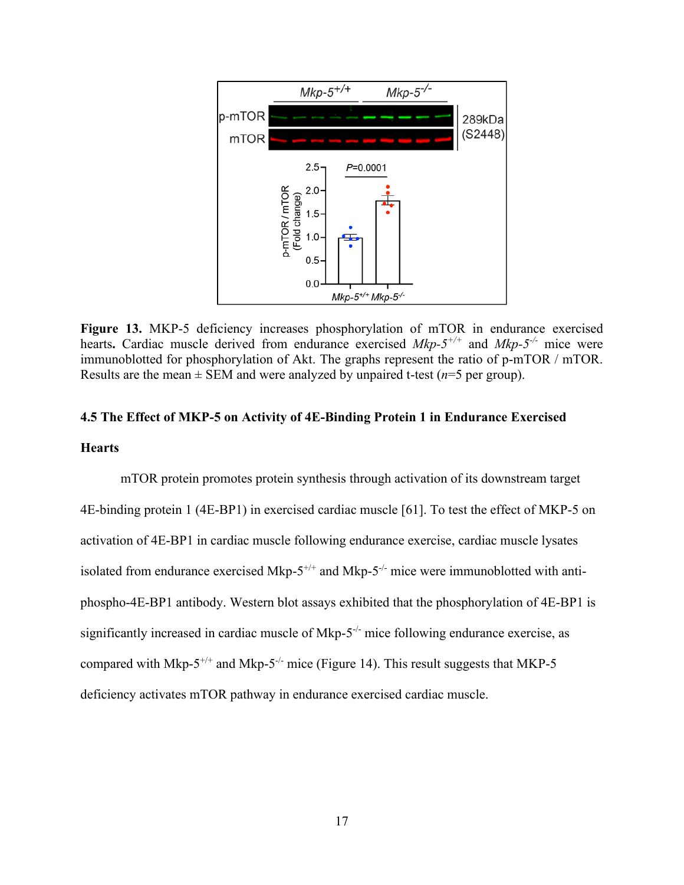

**Figure 13.** MKP-5 deficiency increases phosphorylation of mTOR in endurance exercised hearts. Cardiac muscle derived from endurance exercised *Mkp-5<sup>+/+</sup>* and *Mkp-5<sup>-/-</sup>* mice were immunoblotted for phosphorylation of Akt. The graphs represent the ratio of p-mTOR / mTOR. Results are the mean  $\pm$  SEM and were analyzed by unpaired t-test ( $n=5$  per group).

# **4.5 The Effect of MKP-5 on Activity of 4E-Binding Protein 1 in Endurance Exercised Hearts**

mTOR protein promotes protein synthesis through activation of its downstream target 4E-binding protein 1 (4E-BP1) in exercised cardiac muscle [61]. To test the effect of MKP-5 on activation of 4E-BP1 in cardiac muscle following endurance exercise, cardiac muscle lysates isolated from endurance exercised Mkp- $5^{+/+}$  and Mkp- $5^{-/-}$  mice were immunoblotted with antiphospho-4E-BP1 antibody. Western blot assays exhibited that the phosphorylation of 4E-BP1 is significantly increased in cardiac muscle of Mkp-5<sup>-/-</sup> mice following endurance exercise, as compared with Mkp-5<sup>+/+</sup> and Mkp-5<sup>-/-</sup> mice (Figure 14). This result suggests that MKP-5 deficiency activates mTOR pathway in endurance exercised cardiac muscle.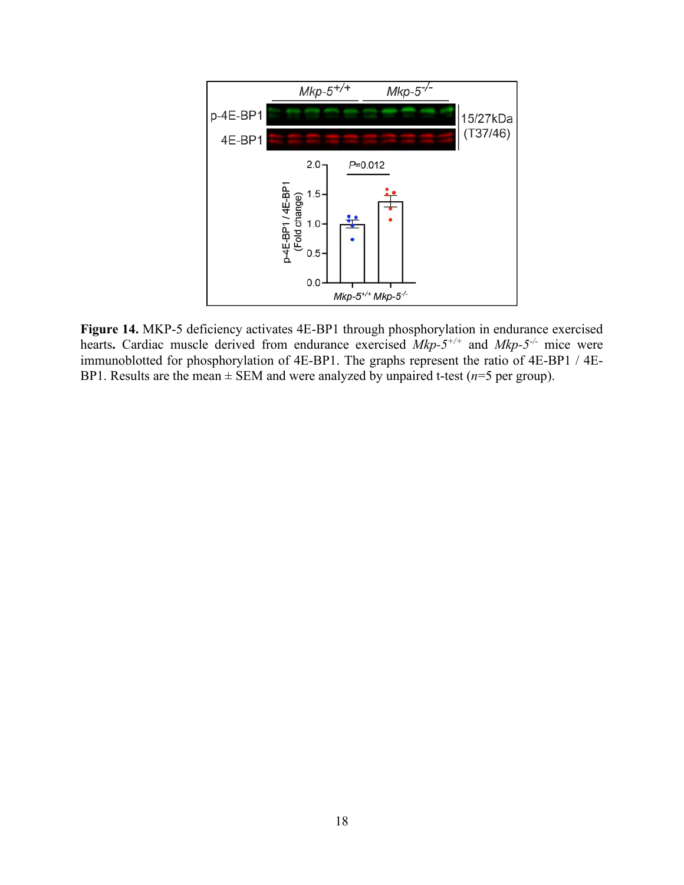

**Figure 14.** MKP-5 deficiency activates 4E-BP1 through phosphorylation in endurance exercised hearts. Cardiac muscle derived from endurance exercised  $Mkp-5^{+/+}$  and  $Mkp-5^{-/-}$  mice were immunoblotted for phosphorylation of 4E-BP1. The graphs represent the ratio of 4E-BP1 / 4E-BP1. Results are the mean  $\pm$  SEM and were analyzed by unpaired t-test ( $n=5$  per group).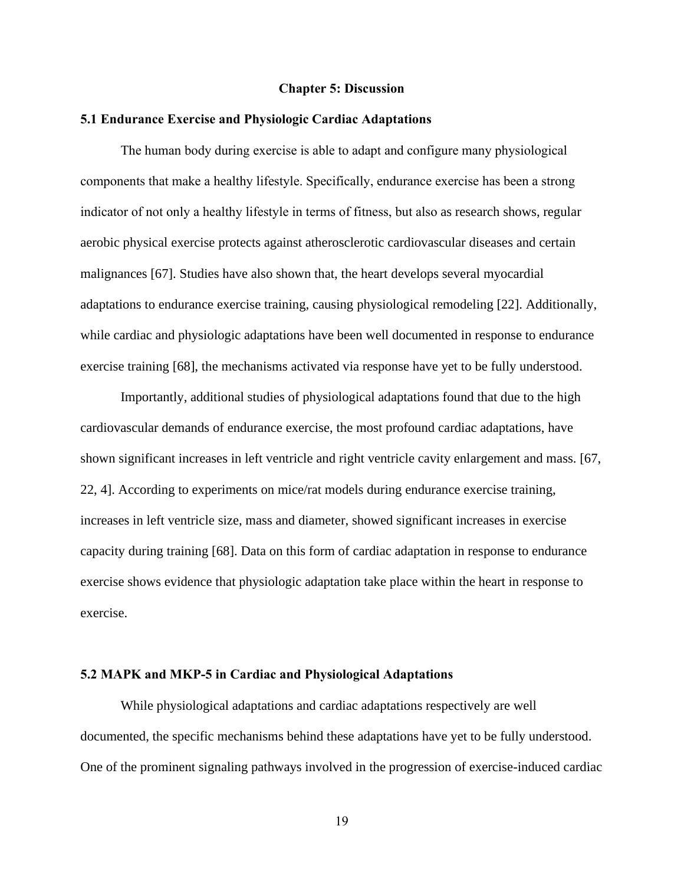#### **Chapter 5: Discussion**

#### **5.1 Endurance Exercise and Physiologic Cardiac Adaptations**

The human body during exercise is able to adapt and configure many physiological components that make a healthy lifestyle. Specifically, endurance exercise has been a strong indicator of not only a healthy lifestyle in terms of fitness, but also as research shows, regular aerobic physical exercise protects against atherosclerotic cardiovascular diseases and certain malignances [67]. Studies have also shown that, the heart develops several myocardial adaptations to endurance exercise training, causing physiological remodeling [22]. Additionally, while cardiac and physiologic adaptations have been well documented in response to endurance exercise training [68], the mechanisms activated via response have yet to be fully understood.

Importantly, additional studies of physiological adaptations found that due to the high cardiovascular demands of endurance exercise, the most profound cardiac adaptations, have shown significant increases in left ventricle and right ventricle cavity enlargement and mass. [67, 22, 4]. According to experiments on mice/rat models during endurance exercise training, increases in left ventricle size, mass and diameter, showed significant increases in exercise capacity during training [68]. Data on this form of cardiac adaptation in response to endurance exercise shows evidence that physiologic adaptation take place within the heart in response to exercise.

#### **5.2 MAPK and MKP-5 in Cardiac and Physiological Adaptations**

While physiological adaptations and cardiac adaptations respectively are well documented, the specific mechanisms behind these adaptations have yet to be fully understood. One of the prominent signaling pathways involved in the progression of exercise-induced cardiac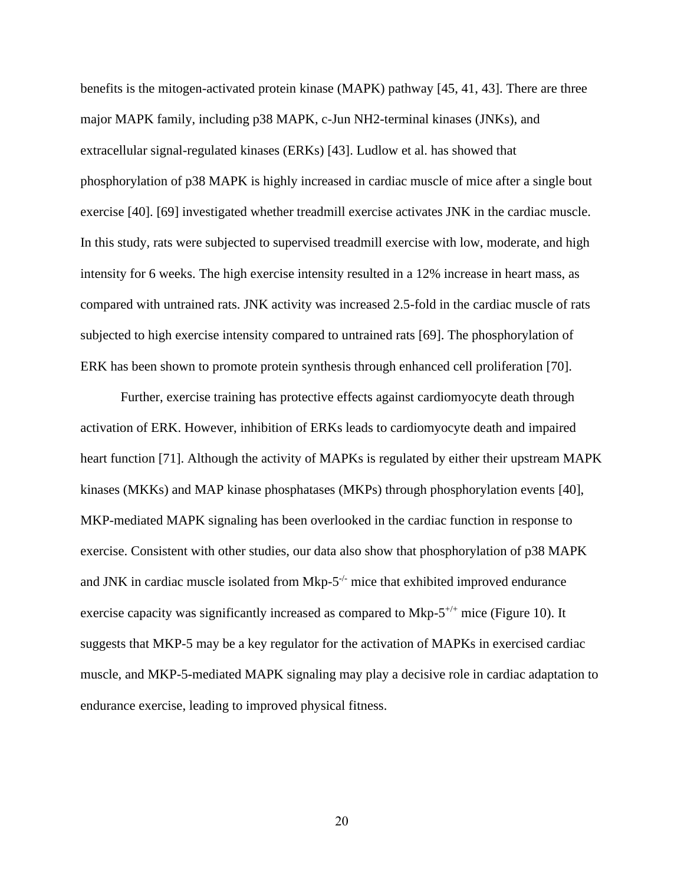benefits is the mitogen-activated protein kinase (MAPK) pathway [45, 41, 43]. There are three major MAPK family, including p38 MAPK, c-Jun NH2-terminal kinases (JNKs), and extracellular signal-regulated kinases (ERKs) [43]. Ludlow et al. has showed that phosphorylation of p38 MAPK is highly increased in cardiac muscle of mice after a single bout exercise [40]. [69] investigated whether treadmill exercise activates JNK in the cardiac muscle. In this study, rats were subjected to supervised treadmill exercise with low, moderate, and high intensity for 6 weeks. The high exercise intensity resulted in a 12% increase in heart mass, as compared with untrained rats. JNK activity was increased 2.5-fold in the cardiac muscle of rats subjected to high exercise intensity compared to untrained rats [69]. The phosphorylation of ERK has been shown to promote protein synthesis through enhanced cell proliferation [70].

Further, exercise training has protective effects against cardiomyocyte death through activation of ERK. However, inhibition of ERKs leads to cardiomyocyte death and impaired heart function [71]. Although the activity of MAPKs is regulated by either their upstream MAPK kinases (MKKs) and MAP kinase phosphatases (MKPs) through phosphorylation events [40], MKP-mediated MAPK signaling has been overlooked in the cardiac function in response to exercise. Consistent with other studies, our data also show that phosphorylation of p38 MAPK and JNK in cardiac muscle isolated from  $Mkp-5^{-/-}$  mice that exhibited improved endurance exercise capacity was significantly increased as compared to  $Mkp-5^{+/+}$  mice (Figure 10). It suggests that MKP-5 may be a key regulator for the activation of MAPKs in exercised cardiac muscle, and MKP-5-mediated MAPK signaling may play a decisive role in cardiac adaptation to endurance exercise, leading to improved physical fitness.

20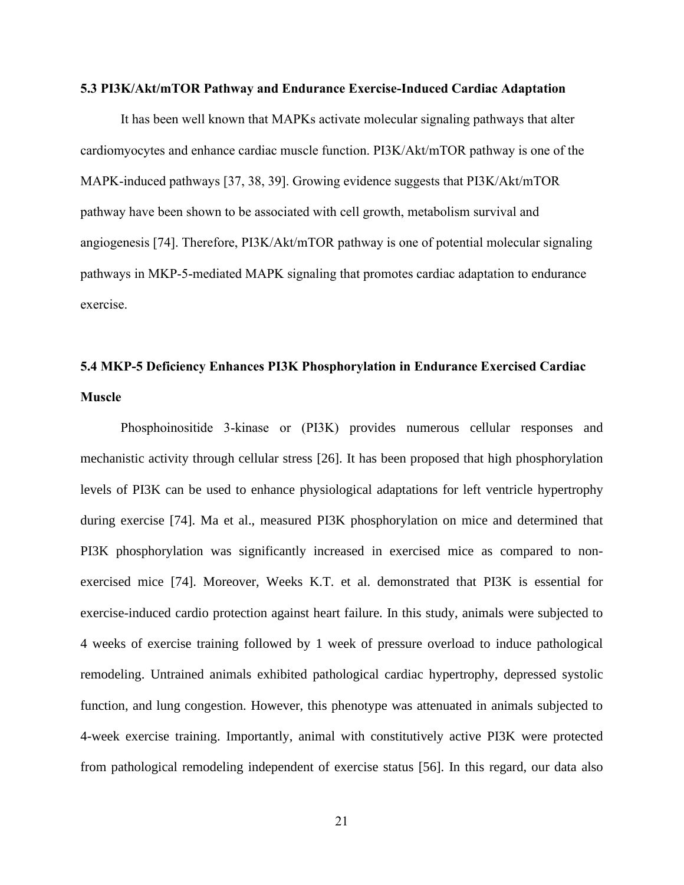#### **5.3 PI3K/Akt/mTOR Pathway and Endurance Exercise-Induced Cardiac Adaptation**

It has been well known that MAPKs activate molecular signaling pathways that alter cardiomyocytes and enhance cardiac muscle function. PI3K/Akt/mTOR pathway is one of the MAPK-induced pathways [37, 38, 39]. Growing evidence suggests that PI3K/Akt/mTOR pathway have been shown to be associated with cell growth, metabolism survival and angiogenesis [74]. Therefore, PI3K/Akt/mTOR pathway is one of potential molecular signaling pathways in MKP-5-mediated MAPK signaling that promotes cardiac adaptation to endurance exercise.

# **5.4 MKP-5 Deficiency Enhances PI3K Phosphorylation in Endurance Exercised Cardiac Muscle**

Phosphoinositide 3-kinase or (PI3K) provides numerous cellular responses and mechanistic activity through cellular stress [26]. It has been proposed that high phosphorylation levels of PI3K can be used to enhance physiological adaptations for left ventricle hypertrophy during exercise [74]. Ma et al., measured PI3K phosphorylation on mice and determined that PI3K phosphorylation was significantly increased in exercised mice as compared to nonexercised mice [74]. Moreover, Weeks K.T. et al. demonstrated that PI3K is essential for exercise-induced cardio protection against heart failure. In this study, animals were subjected to 4 weeks of exercise training followed by 1 week of pressure overload to induce pathological remodeling. Untrained animals exhibited pathological cardiac hypertrophy, depressed systolic function, and lung congestion. However, this phenotype was attenuated in animals subjected to 4-week exercise training. Importantly, animal with constitutively active PI3K were protected from pathological remodeling independent of exercise status [56]. In this regard, our data also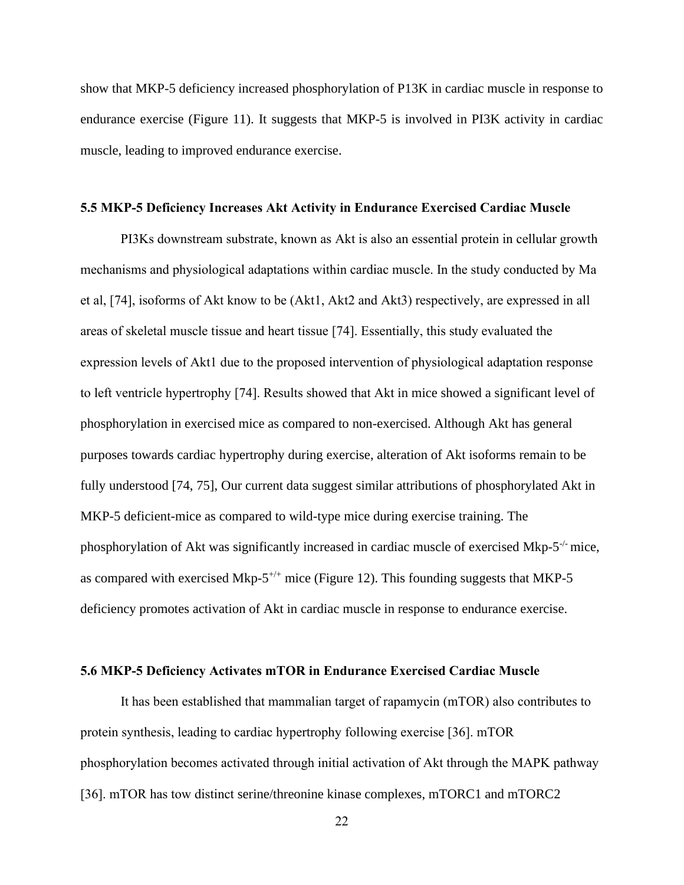show that MKP-5 deficiency increased phosphorylation of P13K in cardiac muscle in response to endurance exercise (Figure 11). It suggests that MKP-5 is involved in PI3K activity in cardiac muscle, leading to improved endurance exercise.

#### **5.5 MKP-5 Deficiency Increases Akt Activity in Endurance Exercised Cardiac Muscle**

PI3Ks downstream substrate, known as Akt is also an essential protein in cellular growth mechanisms and physiological adaptations within cardiac muscle. In the study conducted by Ma et al, [74], isoforms of Akt know to be (Akt1, Akt2 and Akt3) respectively, are expressed in all areas of skeletal muscle tissue and heart tissue [74]. Essentially, this study evaluated the expression levels of Akt1 due to the proposed intervention of physiological adaptation response to left ventricle hypertrophy [74]. Results showed that Akt in mice showed a significant level of phosphorylation in exercised mice as compared to non-exercised. Although Akt has general purposes towards cardiac hypertrophy during exercise, alteration of Akt isoforms remain to be fully understood [74, 75], Our current data suggest similar attributions of phosphorylated Akt in MKP-5 deficient-mice as compared to wild-type mice during exercise training. The phosphorylation of Akt was significantly increased in cardiac muscle of exercised Mkp-5<sup>-/-</sup> mice, as compared with exercised Mkp- $5^{+/+}$  mice (Figure 12). This founding suggests that MKP-5 deficiency promotes activation of Akt in cardiac muscle in response to endurance exercise.

#### **5.6 MKP-5 Deficiency Activates mTOR in Endurance Exercised Cardiac Muscle**

It has been established that mammalian target of rapamycin (mTOR) also contributes to protein synthesis, leading to cardiac hypertrophy following exercise [36]. mTOR phosphorylation becomes activated through initial activation of Akt through the MAPK pathway [36]. mTOR has tow distinct serine/threonine kinase complexes, mTORC1 and mTORC2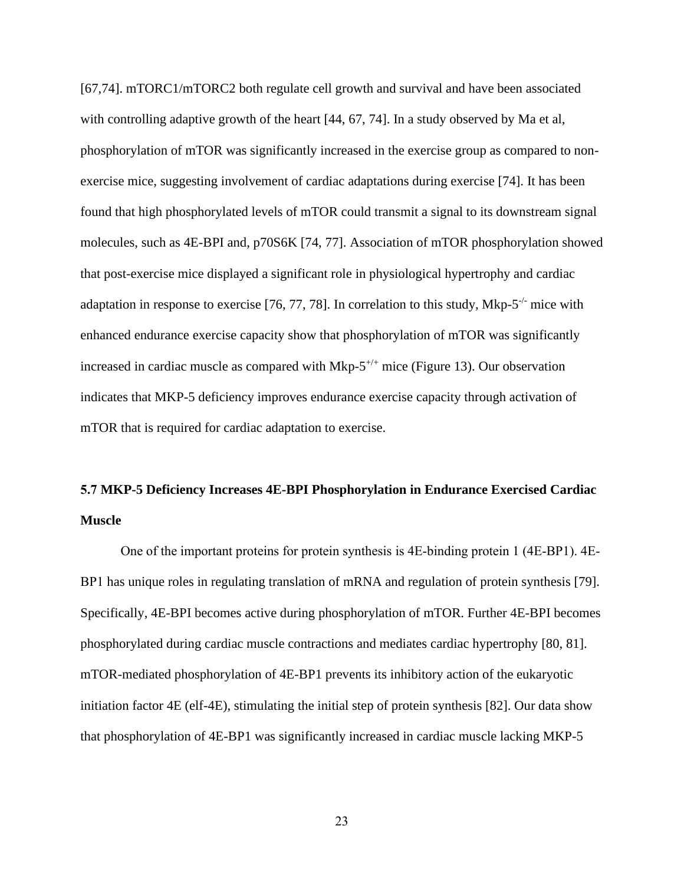[67,74]. mTORC1/mTORC2 both regulate cell growth and survival and have been associated with controlling adaptive growth of the heart [44, 67, 74]. In a study observed by Ma et al, phosphorylation of mTOR was significantly increased in the exercise group as compared to nonexercise mice, suggesting involvement of cardiac adaptations during exercise [74]. It has been found that high phosphorylated levels of mTOR could transmit a signal to its downstream signal molecules, such as 4E-BPI and, p70S6K [74, 77]. Association of mTOR phosphorylation showed that post-exercise mice displayed a significant role in physiological hypertrophy and cardiac adaptation in response to exercise [76, 77, 78]. In correlation to this study, Mkp- $5^{-/-}$  mice with enhanced endurance exercise capacity show that phosphorylation of mTOR was significantly increased in cardiac muscle as compared with Mkp- $5^{+/+}$  mice (Figure 13). Our observation indicates that MKP-5 deficiency improves endurance exercise capacity through activation of mTOR that is required for cardiac adaptation to exercise.

# **5.7 MKP-5 Deficiency Increases 4E-BPI Phosphorylation in Endurance Exercised Cardiac Muscle**

One of the important proteins for protein synthesis is 4E-binding protein 1 (4E-BP1). 4E-BP1 has unique roles in regulating translation of mRNA and regulation of protein synthesis [79]. Specifically, 4E-BPI becomes active during phosphorylation of mTOR. Further 4E-BPI becomes phosphorylated during cardiac muscle contractions and mediates cardiac hypertrophy [80, 81]. mTOR-mediated phosphorylation of 4E-BP1 prevents its inhibitory action of the eukaryotic initiation factor 4E (elf-4E), stimulating the initial step of protein synthesis [82]. Our data show that phosphorylation of 4E-BP1 was significantly increased in cardiac muscle lacking MKP-5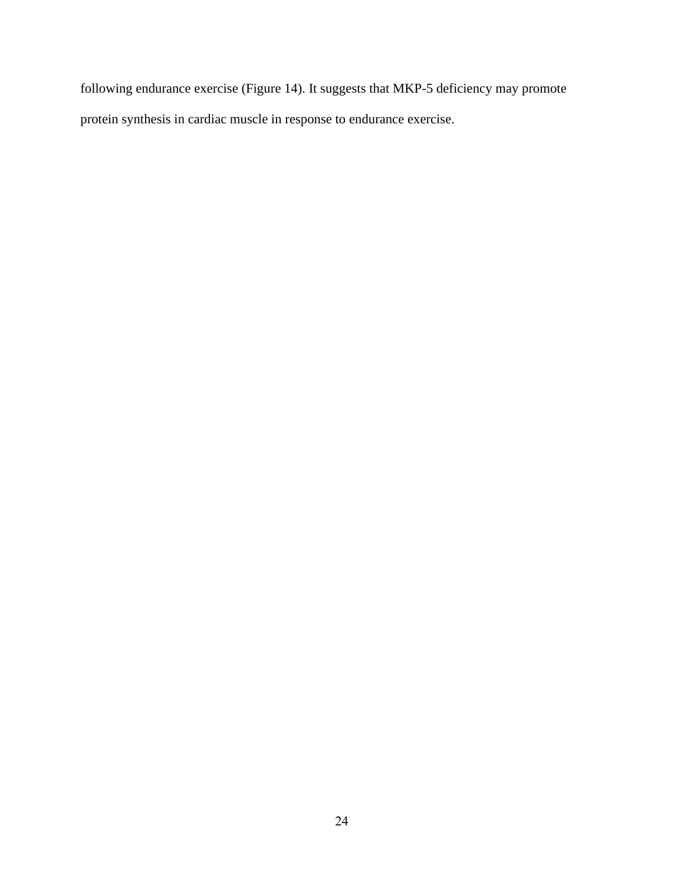following endurance exercise (Figure 14). It suggests that MKP-5 deficiency may promote protein synthesis in cardiac muscle in response to endurance exercise.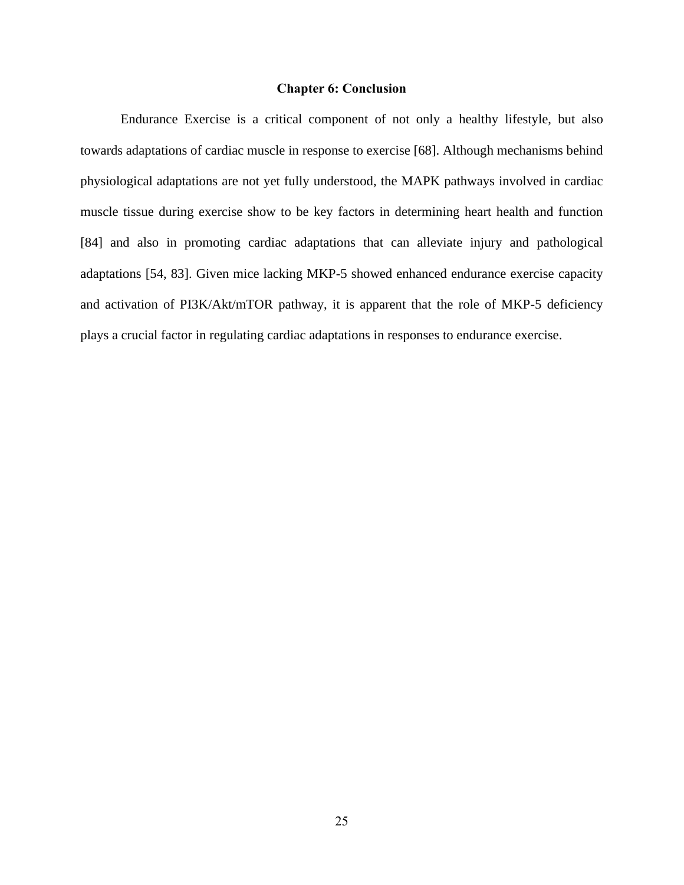#### **Chapter 6: Conclusion**

Endurance Exercise is a critical component of not only a healthy lifestyle, but also towards adaptations of cardiac muscle in response to exercise [68]. Although mechanisms behind physiological adaptations are not yet fully understood, the MAPK pathways involved in cardiac muscle tissue during exercise show to be key factors in determining heart health and function [84] and also in promoting cardiac adaptations that can alleviate injury and pathological adaptations [54, 83]. Given mice lacking MKP-5 showed enhanced endurance exercise capacity and activation of PI3K/Akt/mTOR pathway, it is apparent that the role of MKP-5 deficiency plays a crucial factor in regulating cardiac adaptations in responses to endurance exercise.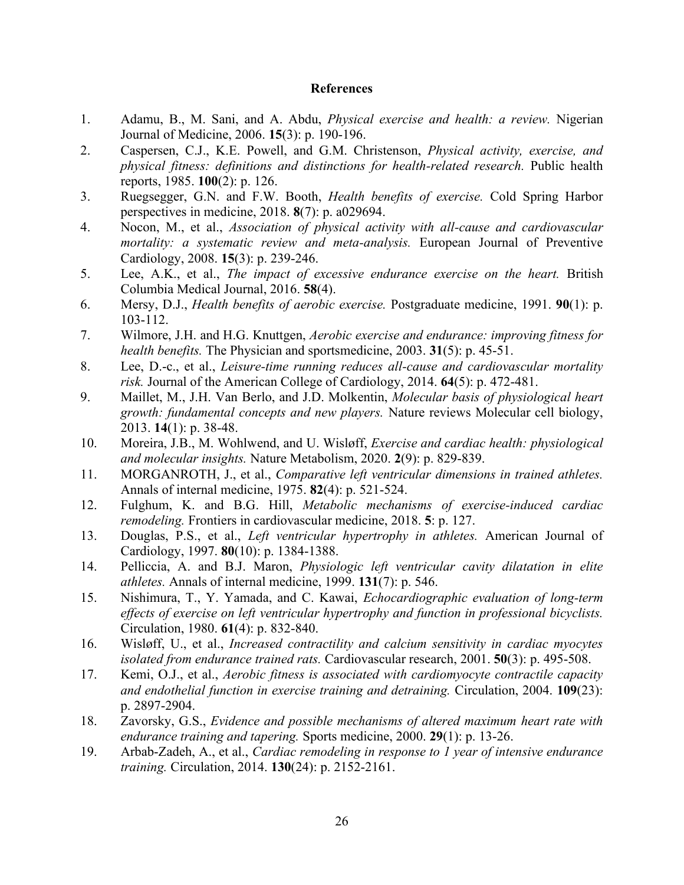#### **References**

- <span id="page-32-0"></span>1. Adamu, B., M. Sani, and A. Abdu, *Physical exercise and health: a review.* Nigerian Journal of Medicine, 2006. **15**(3): p. 190-196.
- 2. Caspersen, C.J., K.E. Powell, and G.M. Christenson, *Physical activity, exercise, and physical fitness: definitions and distinctions for health-related research.* Public health reports, 1985. **100**(2): p. 126.
- 3. Ruegsegger, G.N. and F.W. Booth, *Health benefits of exercise.* Cold Spring Harbor perspectives in medicine, 2018. **8**(7): p. a029694.
- 4. Nocon, M., et al., *Association of physical activity with all-cause and cardiovascular mortality: a systematic review and meta-analysis.* European Journal of Preventive Cardiology, 2008. **15**(3): p. 239-246.
- 5. Lee, A.K., et al., *The impact of excessive endurance exercise on the heart.* British Columbia Medical Journal, 2016. **58**(4).
- 6. Mersy, D.J., *Health benefits of aerobic exercise.* Postgraduate medicine, 1991. **90**(1): p. 103-112.
- 7. Wilmore, J.H. and H.G. Knuttgen, *Aerobic exercise and endurance: improving fitness for health benefits.* The Physician and sportsmedicine, 2003. **31**(5): p. 45-51.
- 8. Lee, D.-c., et al., *Leisure-time running reduces all-cause and cardiovascular mortality risk.* Journal of the American College of Cardiology, 2014. **64**(5): p. 472-481.
- 9. Maillet, M., J.H. Van Berlo, and J.D. Molkentin, *Molecular basis of physiological heart growth: fundamental concepts and new players.* Nature reviews Molecular cell biology, 2013. **14**(1): p. 38-48.
- 10. Moreira, J.B., M. Wohlwend, and U. Wisløff, *Exercise and cardiac health: physiological and molecular insights.* Nature Metabolism, 2020. **2**(9): p. 829-839.
- 11. MORGANROTH, J., et al., *Comparative left ventricular dimensions in trained athletes.* Annals of internal medicine, 1975. **82**(4): p. 521-524.
- 12. Fulghum, K. and B.G. Hill, *Metabolic mechanisms of exercise-induced cardiac remodeling.* Frontiers in cardiovascular medicine, 2018. **5**: p. 127.
- 13. Douglas, P.S., et al., *Left ventricular hypertrophy in athletes.* American Journal of Cardiology, 1997. **80**(10): p. 1384-1388.
- 14. Pelliccia, A. and B.J. Maron, *Physiologic left ventricular cavity dilatation in elite athletes.* Annals of internal medicine, 1999. **131**(7): p. 546.
- 15. Nishimura, T., Y. Yamada, and C. Kawai, *Echocardiographic evaluation of long-term effects of exercise on left ventricular hypertrophy and function in professional bicyclists.* Circulation, 1980. **61**(4): p. 832-840.
- 16. Wisløff, U., et al., *Increased contractility and calcium sensitivity in cardiac myocytes isolated from endurance trained rats.* Cardiovascular research, 2001. **50**(3): p. 495-508.
- 17. Kemi, O.J., et al., *Aerobic fitness is associated with cardiomyocyte contractile capacity and endothelial function in exercise training and detraining.* Circulation, 2004. **109**(23): p. 2897-2904.
- 18. Zavorsky, G.S., *Evidence and possible mechanisms of altered maximum heart rate with endurance training and tapering.* Sports medicine, 2000. **29**(1): p. 13-26.
- 19. Arbab-Zadeh, A., et al., *Cardiac remodeling in response to 1 year of intensive endurance training.* Circulation, 2014. **130**(24): p. 2152-2161.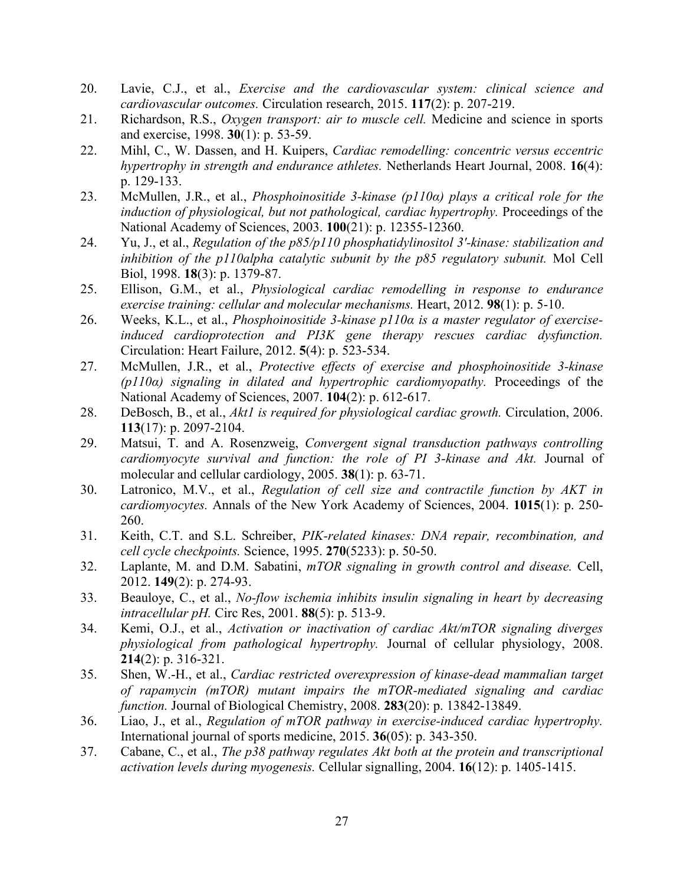- 20. Lavie, C.J., et al., *Exercise and the cardiovascular system: clinical science and cardiovascular outcomes.* Circulation research, 2015. **117**(2): p. 207-219.
- 21. Richardson, R.S., *Oxygen transport: air to muscle cell.* Medicine and science in sports and exercise, 1998. **30**(1): p. 53-59.
- 22. Mihl, C., W. Dassen, and H. Kuipers, *Cardiac remodelling: concentric versus eccentric hypertrophy in strength and endurance athletes.* Netherlands Heart Journal, 2008. **16**(4): p. 129-133.
- 23. McMullen, J.R., et al., *Phosphoinositide 3-kinase (p110α) plays a critical role for the induction of physiological, but not pathological, cardiac hypertrophy.* Proceedings of the National Academy of Sciences, 2003. **100**(21): p. 12355-12360.
- 24. Yu, J., et al., *Regulation of the p85/p110 phosphatidylinositol 3'-kinase: stabilization and inhibition of the p110alpha catalytic subunit by the p85 regulatory subunit.* Mol Cell Biol, 1998. **18**(3): p. 1379-87.
- 25. Ellison, G.M., et al., *Physiological cardiac remodelling in response to endurance exercise training: cellular and molecular mechanisms.* Heart, 2012. **98**(1): p. 5-10.
- 26. Weeks, K.L., et al., *Phosphoinositide 3-kinase p110α is a master regulator of exerciseinduced cardioprotection and PI3K gene therapy rescues cardiac dysfunction.* Circulation: Heart Failure, 2012. **5**(4): p. 523-534.
- 27. McMullen, J.R., et al., *Protective effects of exercise and phosphoinositide 3-kinase (p110α) signaling in dilated and hypertrophic cardiomyopathy.* Proceedings of the National Academy of Sciences, 2007. **104**(2): p. 612-617.
- 28. DeBosch, B., et al., *Akt1 is required for physiological cardiac growth.* Circulation, 2006. **113**(17): p. 2097-2104.
- 29. Matsui, T. and A. Rosenzweig, *Convergent signal transduction pathways controlling cardiomyocyte survival and function: the role of PI 3-kinase and Akt.* Journal of molecular and cellular cardiology, 2005. **38**(1): p. 63-71.
- 30. Latronico, M.V., et al., *Regulation of cell size and contractile function by AKT in cardiomyocytes.* Annals of the New York Academy of Sciences, 2004. **1015**(1): p. 250- 260.
- 31. Keith, C.T. and S.L. Schreiber, *PIK-related kinases: DNA repair, recombination, and cell cycle checkpoints.* Science, 1995. **270**(5233): p. 50-50.
- 32. Laplante, M. and D.M. Sabatini, *mTOR signaling in growth control and disease.* Cell, 2012. **149**(2): p. 274-93.
- 33. Beauloye, C., et al., *No-flow ischemia inhibits insulin signaling in heart by decreasing intracellular pH.* Circ Res, 2001. **88**(5): p. 513-9.
- 34. Kemi, O.J., et al., *Activation or inactivation of cardiac Akt/mTOR signaling diverges physiological from pathological hypertrophy.* Journal of cellular physiology, 2008. **214**(2): p. 316-321.
- 35. Shen, W.-H., et al., *Cardiac restricted overexpression of kinase-dead mammalian target of rapamycin (mTOR) mutant impairs the mTOR-mediated signaling and cardiac function.* Journal of Biological Chemistry, 2008. **283**(20): p. 13842-13849.
- 36. Liao, J., et al., *Regulation of mTOR pathway in exercise-induced cardiac hypertrophy.* International journal of sports medicine, 2015. **36**(05): p. 343-350.
- 37. Cabane, C., et al., *The p38 pathway regulates Akt both at the protein and transcriptional activation levels during myogenesis.* Cellular signalling, 2004. **16**(12): p. 1405-1415.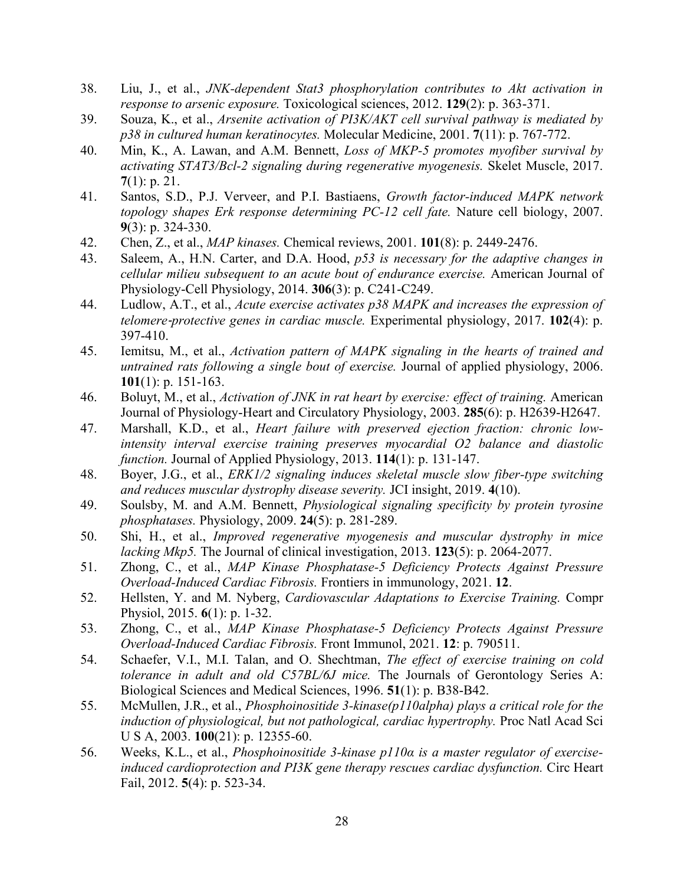- 38. Liu, J., et al., *JNK-dependent Stat3 phosphorylation contributes to Akt activation in response to arsenic exposure.* Toxicological sciences, 2012. **129**(2): p. 363-371.
- 39. Souza, K., et al., *Arsenite activation of PI3K/AKT cell survival pathway is mediated by p38 in cultured human keratinocytes.* Molecular Medicine, 2001. **7**(11): p. 767-772.
- 40. Min, K., A. Lawan, and A.M. Bennett, *Loss of MKP-5 promotes myofiber survival by activating STAT3/Bcl-2 signaling during regenerative myogenesis.* Skelet Muscle, 2017. **7**(1): p. 21.
- 41. Santos, S.D., P.J. Verveer, and P.I. Bastiaens, *Growth factor-induced MAPK network topology shapes Erk response determining PC-12 cell fate.* Nature cell biology, 2007. **9**(3): p. 324-330.
- 42. Chen, Z., et al., *MAP kinases.* Chemical reviews, 2001. **101**(8): p. 2449-2476.
- 43. Saleem, A., H.N. Carter, and D.A. Hood, *p53 is necessary for the adaptive changes in cellular milieu subsequent to an acute bout of endurance exercise.* American Journal of Physiology-Cell Physiology, 2014. **306**(3): p. C241-C249.
- 44. Ludlow, A.T., et al., *Acute exercise activates p38 MAPK and increases the expression of telomere*‐*protective genes in cardiac muscle.* Experimental physiology, 2017. **102**(4): p. 397-410.
- 45. Iemitsu, M., et al., *Activation pattern of MAPK signaling in the hearts of trained and untrained rats following a single bout of exercise.* Journal of applied physiology, 2006. **101**(1): p. 151-163.
- 46. Boluyt, M., et al., *Activation of JNK in rat heart by exercise: effect of training.* American Journal of Physiology-Heart and Circulatory Physiology, 2003. **285**(6): p. H2639-H2647.
- 47. Marshall, K.D., et al., *Heart failure with preserved ejection fraction: chronic lowintensity interval exercise training preserves myocardial O2 balance and diastolic function.* Journal of Applied Physiology, 2013. **114**(1): p. 131-147.
- 48. Boyer, J.G., et al., *ERK1/2 signaling induces skeletal muscle slow fiber-type switching and reduces muscular dystrophy disease severity.* JCI insight, 2019. **4**(10).
- 49. Soulsby, M. and A.M. Bennett, *Physiological signaling specificity by protein tyrosine phosphatases.* Physiology, 2009. **24**(5): p. 281-289.
- 50. Shi, H., et al., *Improved regenerative myogenesis and muscular dystrophy in mice lacking Mkp5.* The Journal of clinical investigation, 2013. **123**(5): p. 2064-2077.
- 51. Zhong, C., et al., *MAP Kinase Phosphatase-5 Deficiency Protects Against Pressure Overload-Induced Cardiac Fibrosis.* Frontiers in immunology, 2021. **12**.
- 52. Hellsten, Y. and M. Nyberg, *Cardiovascular Adaptations to Exercise Training.* Compr Physiol, 2015. **6**(1): p. 1-32.
- 53. Zhong, C., et al., *MAP Kinase Phosphatase-5 Deficiency Protects Against Pressure Overload-Induced Cardiac Fibrosis.* Front Immunol, 2021. **12**: p. 790511.
- 54. Schaefer, V.I., M.I. Talan, and O. Shechtman, *The effect of exercise training on cold tolerance in adult and old C57BL/6J mice.* The Journals of Gerontology Series A: Biological Sciences and Medical Sciences, 1996. **51**(1): p. B38-B42.
- 55. McMullen, J.R., et al., *Phosphoinositide 3-kinase(p110alpha) plays a critical role for the induction of physiological, but not pathological, cardiac hypertrophy.* Proc Natl Acad Sci U S A, 2003. **100**(21): p. 12355-60.
- 56. Weeks, K.L., et al., *Phosphoinositide 3-kinase p110α is a master regulator of exerciseinduced cardioprotection and PI3K gene therapy rescues cardiac dysfunction.* Circ Heart Fail, 2012. **5**(4): p. 523-34.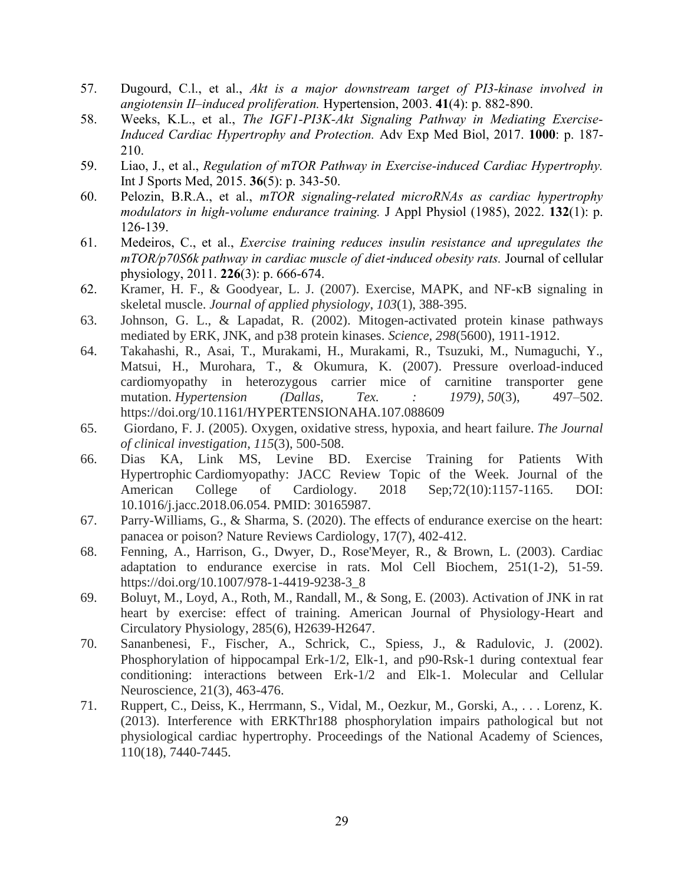- 57. Dugourd, C.l., et al., *Akt is a major downstream target of PI3-kinase involved in angiotensin II–induced proliferation.* Hypertension, 2003. **41**(4): p. 882-890.
- 58. Weeks, K.L., et al., *The IGF1-PI3K-Akt Signaling Pathway in Mediating Exercise-Induced Cardiac Hypertrophy and Protection.* Adv Exp Med Biol, 2017. **1000**: p. 187- 210.
- 59. Liao, J., et al., *Regulation of mTOR Pathway in Exercise-induced Cardiac Hypertrophy.* Int J Sports Med, 2015. **36**(5): p. 343-50.
- 60. Pelozin, B.R.A., et al., *mTOR signaling-related microRNAs as cardiac hypertrophy modulators in high-volume endurance training.* J Appl Physiol (1985), 2022. **132**(1): p. 126-139.
- 61. Medeiros, C., et al., *Exercise training reduces insulin resistance and upregulates the mTOR/p70S6k pathway in cardiac muscle of diet*‐*induced obesity rats.* Journal of cellular physiology, 2011. **226**(3): p. 666-674.
- 62. Kramer, H. F., & Goodyear, L. J. (2007). Exercise, MAPK, and NF-κB signaling in skeletal muscle. *Journal of applied physiology*, *103*(1), 388-395.
- 63. Johnson, G. L., & Lapadat, R. (2002). Mitogen-activated protein kinase pathways mediated by ERK, JNK, and p38 protein kinases. *Science*, *298*(5600), 1911-1912.
- 64. Takahashi, R., Asai, T., Murakami, H., Murakami, R., Tsuzuki, M., Numaguchi, Y., Matsui, H., Murohara, T., & Okumura, K. (2007). Pressure overload-induced cardiomyopathy in heterozygous carrier mice of carnitine transporter gene mutation. *Hypertension (Dallas, Tex. : 1979)*, *50*(3), 497–502. https://doi.org/10.1161/HYPERTENSIONAHA.107.088609
- 65. Giordano, F. J. (2005). Oxygen, oxidative stress, hypoxia, and heart failure. *The Journal of clinical investigation*, *115*(3), 500-508.
- 66. Dias KA, Link MS, Levine BD. Exercise Training for Patients With Hypertrophic Cardiomyopathy: JACC Review Topic of the Week. Journal of the American College of Cardiology. 2018 Sep;72(10):1157-1165. DOI: 10.1016/j.jacc.2018.06.054. PMID: 30165987.
- 67. Parry-Williams, G., & Sharma, S. (2020). The effects of endurance exercise on the heart: panacea or poison? Nature Reviews Cardiology, 17(7), 402-412.
- 68. Fenning, A., Harrison, G., Dwyer, D., Rose'Meyer, R., & Brown, L. (2003). Cardiac adaptation to endurance exercise in rats. Mol Cell Biochem, 251(1-2), 51-59. https://doi.org/10.1007/978-1-4419-9238-3\_8
- 69. Boluyt, M., Loyd, A., Roth, M., Randall, M., & Song, E. (2003). Activation of JNK in rat heart by exercise: effect of training. American Journal of Physiology-Heart and Circulatory Physiology, 285(6), H2639-H2647.
- 70. Sananbenesi, F., Fischer, A., Schrick, C., Spiess, J., & Radulovic, J. (2002). Phosphorylation of hippocampal Erk-1/2, Elk-1, and p90-Rsk-1 during contextual fear conditioning: interactions between Erk-1/2 and Elk-1. Molecular and Cellular Neuroscience, 21(3), 463-476.
- 71. Ruppert, C., Deiss, K., Herrmann, S., Vidal, M., Oezkur, M., Gorski, A., . . . Lorenz, K. (2013). Interference with ERKThr188 phosphorylation impairs pathological but not physiological cardiac hypertrophy. Proceedings of the National Academy of Sciences, 110(18), 7440-7445.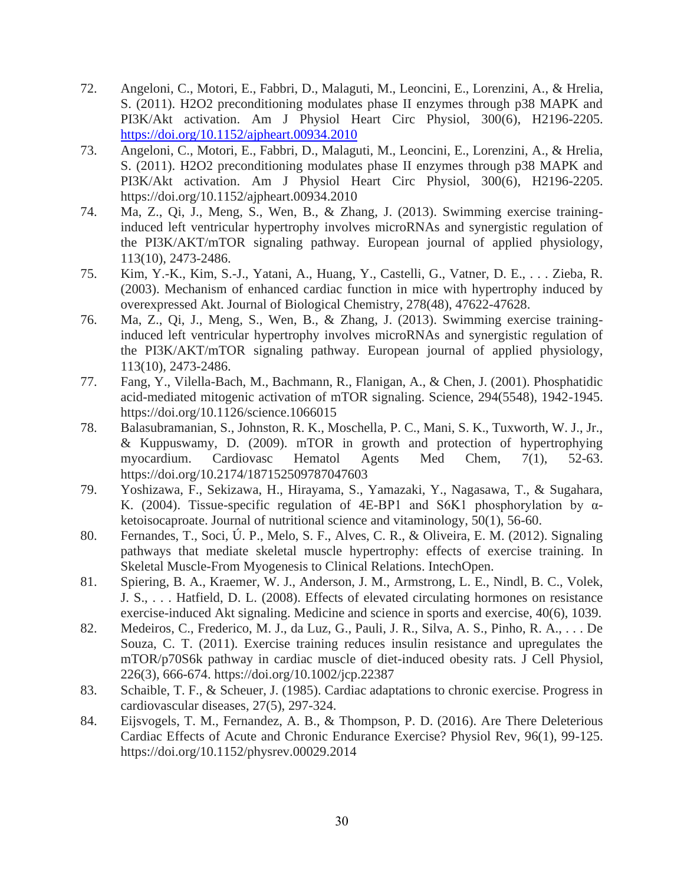- 72. Angeloni, C., Motori, E., Fabbri, D., Malaguti, M., Leoncini, E., Lorenzini, A., & Hrelia, S. (2011). H2O2 preconditioning modulates phase II enzymes through p38 MAPK and PI3K/Akt activation. Am J Physiol Heart Circ Physiol, 300(6), H2196-2205. <https://doi.org/10.1152/ajpheart.00934.2010>
- 73. Angeloni, C., Motori, E., Fabbri, D., Malaguti, M., Leoncini, E., Lorenzini, A., & Hrelia, S. (2011). H2O2 preconditioning modulates phase II enzymes through p38 MAPK and PI3K/Akt activation. Am J Physiol Heart Circ Physiol, 300(6), H2196-2205. https://doi.org/10.1152/ajpheart.00934.2010
- 74. Ma, Z., Qi, J., Meng, S., Wen, B., & Zhang, J. (2013). Swimming exercise traininginduced left ventricular hypertrophy involves microRNAs and synergistic regulation of the PI3K/AKT/mTOR signaling pathway. European journal of applied physiology, 113(10), 2473-2486.
- 75. Kim, Y.-K., Kim, S.-J., Yatani, A., Huang, Y., Castelli, G., Vatner, D. E., . . . Zieba, R. (2003). Mechanism of enhanced cardiac function in mice with hypertrophy induced by overexpressed Akt. Journal of Biological Chemistry, 278(48), 47622-47628.
- 76. Ma, Z., Qi, J., Meng, S., Wen, B., & Zhang, J. (2013). Swimming exercise traininginduced left ventricular hypertrophy involves microRNAs and synergistic regulation of the PI3K/AKT/mTOR signaling pathway. European journal of applied physiology, 113(10), 2473-2486.
- 77. Fang, Y., Vilella-Bach, M., Bachmann, R., Flanigan, A., & Chen, J. (2001). Phosphatidic acid-mediated mitogenic activation of mTOR signaling. Science, 294(5548), 1942-1945. https://doi.org/10.1126/science.1066015
- 78. Balasubramanian, S., Johnston, R. K., Moschella, P. C., Mani, S. K., Tuxworth, W. J., Jr., & Kuppuswamy, D. (2009). mTOR in growth and protection of hypertrophying myocardium. Cardiovasc Hematol Agents Med Chem, 7(1), 52-63. https://doi.org/10.2174/187152509787047603
- 79. Yoshizawa, F., Sekizawa, H., Hirayama, S., Yamazaki, Y., Nagasawa, T., & Sugahara, K. (2004). Tissue-specific regulation of 4E-BP1 and S6K1 phosphorylation by αketoisocaproate. Journal of nutritional science and vitaminology, 50(1), 56-60.
- 80. Fernandes, T., Soci, Ú. P., Melo, S. F., Alves, C. R., & Oliveira, E. M. (2012). Signaling pathways that mediate skeletal muscle hypertrophy: effects of exercise training. In Skeletal Muscle-From Myogenesis to Clinical Relations. IntechOpen.
- 81. Spiering, B. A., Kraemer, W. J., Anderson, J. M., Armstrong, L. E., Nindl, B. C., Volek, J. S., . . . Hatfield, D. L. (2008). Effects of elevated circulating hormones on resistance exercise-induced Akt signaling. Medicine and science in sports and exercise, 40(6), 1039.
- 82. Medeiros, C., Frederico, M. J., da Luz, G., Pauli, J. R., Silva, A. S., Pinho, R. A., . . . De Souza, C. T. (2011). Exercise training reduces insulin resistance and upregulates the mTOR/p70S6k pathway in cardiac muscle of diet-induced obesity rats. J Cell Physiol, 226(3), 666-674. https://doi.org/10.1002/jcp.22387
- 83. Schaible, T. F., & Scheuer, J. (1985). Cardiac adaptations to chronic exercise. Progress in cardiovascular diseases, 27(5), 297-324.
- 84. Eijsvogels, T. M., Fernandez, A. B., & Thompson, P. D. (2016). Are There Deleterious Cardiac Effects of Acute and Chronic Endurance Exercise? Physiol Rev, 96(1), 99-125. https://doi.org/10.1152/physrev.00029.2014